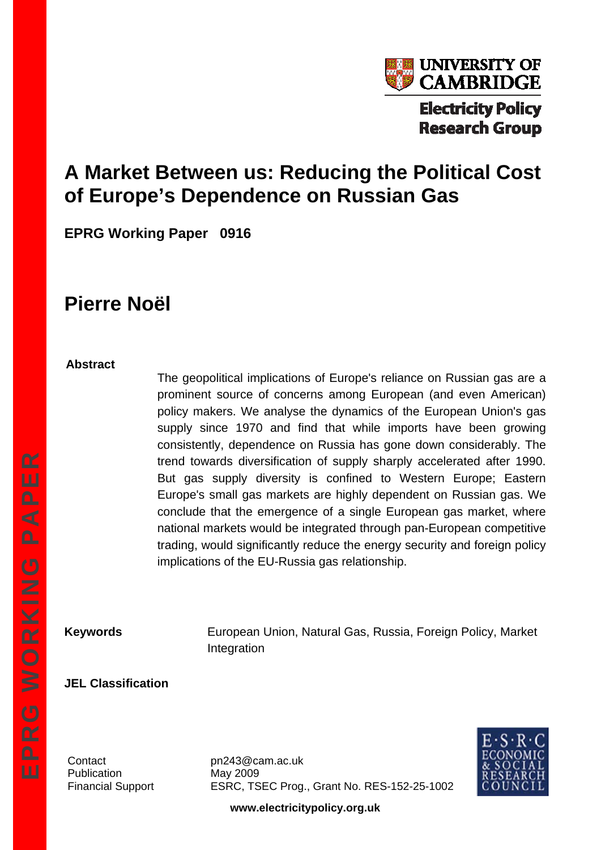

# **A Market Between us: Reducing the Political Cost of Europe's Dependence on Russian Gas**

**EPRG Working Paper 0916** 

# **Pierre Noël**

#### **Abstract**

The geopolitical implications of Europe's reliance on Russian gas are a prominent source of concerns among European (and even American) policy makers. We analyse the dynamics of the European Union's gas supply since 1970 and find that while imports have been growing consistently, dependence on Russia has gone down considerably. The trend towards diversification of supply sharply accelerated after 1990. But gas supply diversity is confined to Western Europe; Eastern Europe's small gas markets are highly dependent on Russian gas. We conclude that the emergence of a single European gas market, where national markets would be integrated through pan-European competitive trading, would significantly reduce the energy security and foreign policy implications of the EU-Russia gas relationship.

**Keywords European Union, Natural Gas, Russia, Foreign Policy, Market** Integration

#### **JEL Classification**

Publication May 2009

Contact pn243@cam.ac.uk Financial Support ESRC, TSEC Prog., Grant No. RES-152-25-1002



**www.electricitypolicy.org.uk**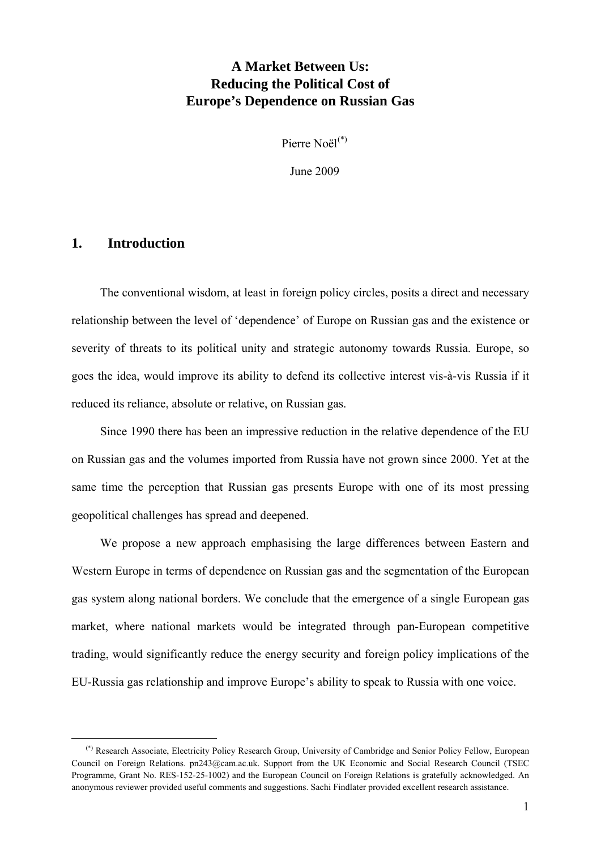### **A Market Between Us: Reducing the Political Cost of Europe's Dependence on Russian Gas**

Pierre Noël<sup>[\(\\*\)](#page-1-0)</sup>

June 2009

#### **1. Introduction**

The conventional wisdom, at least in foreign policy circles, posits a direct and necessary relationship between the level of 'dependence' of Europe on Russian gas and the existence or severity of threats to its political unity and strategic autonomy towards Russia. Europe, so goes the idea, would improve its ability to defend its collective interest vis-à-vis Russia if it reduced its reliance, absolute or relative, on Russian gas.

Since 1990 there has been an impressive reduction in the relative dependence of the EU on Russian gas and the volumes imported from Russia have not grown since 2000. Yet at the same time the perception that Russian gas presents Europe with one of its most pressing geopolitical challenges has spread and deepened.

We propose a new approach emphasising the large differences between Eastern and Western Europe in terms of dependence on Russian gas and the segmentation of the European gas system along national borders. We conclude that the emergence of a single European gas market, where national markets would be integrated through pan-European competitive trading, would significantly reduce the energy security and foreign policy implications of the EU-Russia gas relationship and improve Europe's ability to speak to Russia with one voice.

<span id="page-1-0"></span> <sup>(\*)</sup> Research Associate, Electricity Policy Research Group, University of Cambridge and Senior Policy Fellow, European Council on Foreign Relations. pn243@cam.ac.uk. Support from the UK Economic and Social Research Council (TSEC Programme, Grant No. RES-152-25-1002) and the European Council on Foreign Relations is gratefully acknowledged. An anonymous reviewer provided useful comments and suggestions. Sachi Findlater provided excellent research assistance.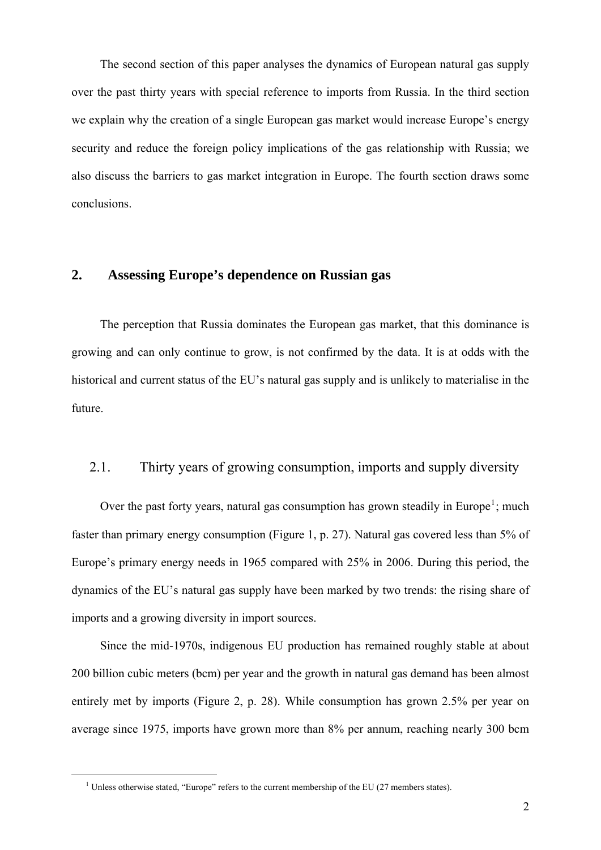The second section of this paper analyses the dynamics of European natural gas supply over the past thirty years with special reference to imports from Russia. In the third section we explain why the creation of a single European gas market would increase Europe's energy security and reduce the foreign policy implications of the gas relationship with Russia; we also discuss the barriers to gas market integration in Europe. The fourth section draws some conclusions.

### **2. Assessing Europe's dependence on Russian gas**

The perception that Russia dominates the European gas market, that this dominance is growing and can only continue to grow, is not confirmed by the data. It is at odds with the historical and current status of the EU's natural gas supply and is unlikely to materialise in the future.

#### 2.1. Thirty years of growing consumption, imports and supply diversity

Over the past forty years, natural gas consumption has grown steadily in Europe<sup>[1](#page-2-0)</sup>; much faster than primary energy consumption [\(Figure 1,](#page-27-0) p. [27](#page-27-0)). Natural gas covered less than 5% of Europe's primary energy needs in 1965 compared with 25% in 2006. During this period, the dynamics of the EU's natural gas supply have been marked by two trends: the rising share of imports and a growing diversity in import sources.

Since the mid-1970s, indigenous EU production has remained roughly stable at about 200 billion cubic meters (bcm) per year and the growth in natural gas demand has been almost entirely met by imports [\(Figure 2,](#page-28-0) p. [28\)](#page-28-0). While consumption has grown 2.5% per year on average since 1975, imports have grown more than 8% per annum, reaching nearly 300 bcm

<span id="page-2-0"></span> $\frac{1}{1}$  $<sup>1</sup>$  Unless otherwise stated, "Europe" refers to the current membership of the EU (27 members states).</sup>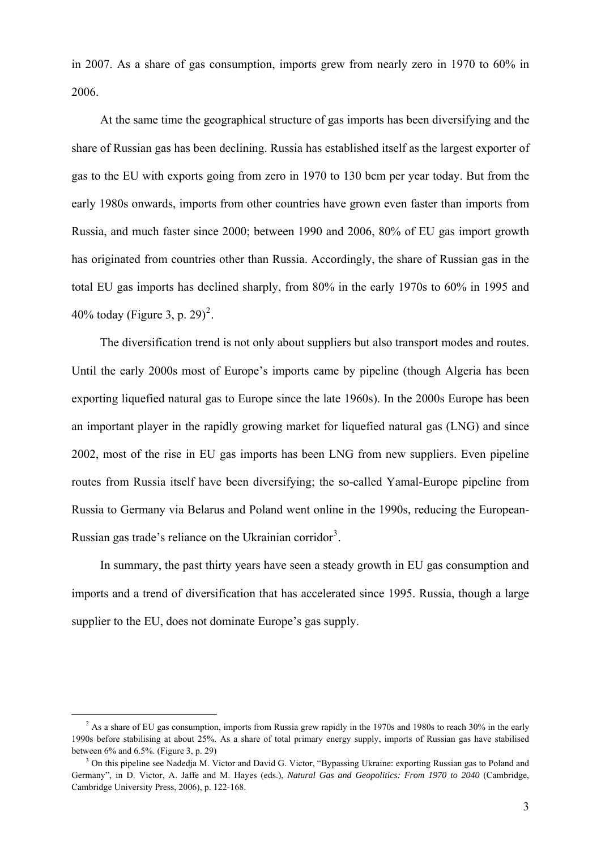in 2007. As a share of gas consumption, imports grew from nearly zero in 1970 to 60% in 2006.

At the same time the geographical structure of gas imports has been diversifying and the share of Russian gas has been declining. Russia has established itself as the largest exporter of gas to the EU with exports going from zero in 1970 to 130 bcm per year today. But from the early 1980s onwards, imports from other countries have grown even faster than imports from Russia, and much faster since 2000; between 1990 and 2006, 80% of EU gas import growth has originated from countries other than Russia. Accordingly, the share of Russian gas in the total EU gas imports has declined sharply, from 80% in the early 1970s to 60% in 1995 and 40% today ([Figure 3,](#page-29-0) p. [29\)](#page-29-0)<sup>[2](#page-3-0)</sup>.

The diversification trend is not only about suppliers but also transport modes and routes. Until the early 2000s most of Europe's imports came by pipeline (though Algeria has been exporting liquefied natural gas to Europe since the late 1960s). In the 2000s Europe has been an important player in the rapidly growing market for liquefied natural gas (LNG) and since 2002, most of the rise in EU gas imports has been LNG from new suppliers. Even pipeline routes from Russia itself have been diversifying; the so-called Yamal-Europe pipeline from Russia to Germany via Belarus and Poland went online in the 1990s, reducing the European-Russian gas trade's reliance on the Ukrainian corridor<sup>[3](#page-3-1)</sup>.

In summary, the past thirty years have seen a steady growth in EU gas consumption and imports and a trend of diversification that has accelerated since 1995. Russia, though a large supplier to the EU, does not dominate Europe's gas supply.

<sup>&</sup>lt;sup>2</sup> As a share of EU gas consumption, imports from Russia grew rapidly in the 1970s and 1980s to reach 30% in the early 1990s before stabilising at about 25%. As a share of total primary energy supply, imports of Russian gas have stabilised between  $6\%$  and  $6.5\%$ . (Figure 3, p. 29)

<span id="page-3-1"></span><span id="page-3-0"></span> $3$  On this pipeline see Nadedia M. Victor and David G. Victor, "Bypassing Ukraine: exporting Russian gas to Poland and Germany", in D. Victor, A. Jaffe and M. Hayes (eds.), *Natural Gas and Geopolitics: From 1970 to 2040* (Cambridge, Cambridge University Press, 2006), p. 122-168.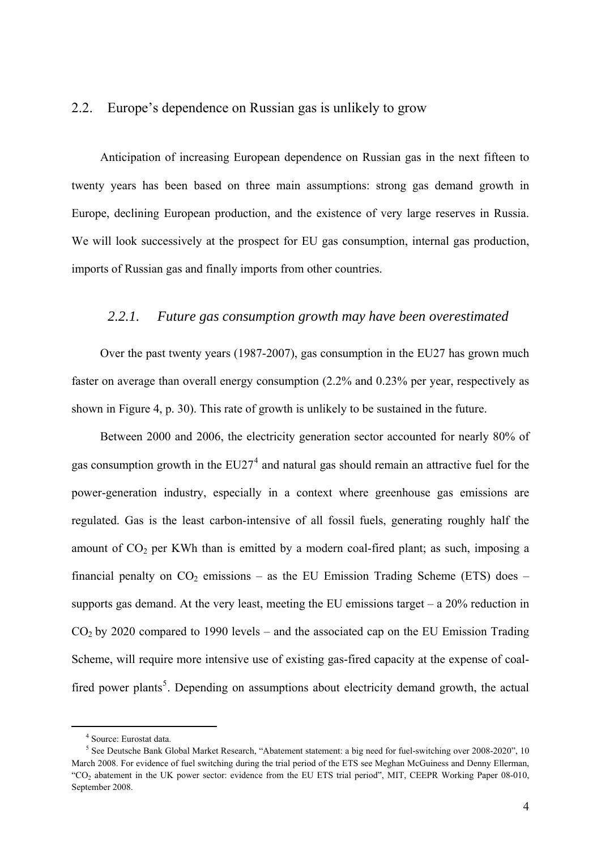#### 2.2. Europe's dependence on Russian gas is unlikely to grow

Anticipation of increasing European dependence on Russian gas in the next fifteen to twenty years has been based on three main assumptions: strong gas demand growth in Europe, declining European production, and the existence of very large reserves in Russia. We will look successively at the prospect for EU gas consumption, internal gas production, imports of Russian gas and finally imports from other countries.

#### *2.2.1. Future gas consumption growth may have been overestimated*

Over the past twenty years (1987-2007), gas consumption in the EU27 has grown much faster on average than overall energy consumption (2.2% and 0.23% per year, respectively as shown in [Figure 4,](#page-30-0) p. [30\)](#page-30-0). This rate of growth is unlikely to be sustained in the future.

Between 2000 and 2006, the electricity generation sector accounted for nearly 80% of gas consumption growth in the  $EU27<sup>4</sup>$  $EU27<sup>4</sup>$  $EU27<sup>4</sup>$  and natural gas should remain an attractive fuel for the power-generation industry, especially in a context where greenhouse gas emissions are regulated. Gas is the least carbon-intensive of all fossil fuels, generating roughly half the amount of  $CO<sub>2</sub>$  per KWh than is emitted by a modern coal-fired plant; as such, imposing a financial penalty on  $CO<sub>2</sub>$  emissions – as the EU Emission Trading Scheme (ETS) does – supports gas demand. At the very least, meeting the EU emissions target  $-$  a 20% reduction in  $CO<sub>2</sub>$  by 2020 compared to 1990 levels – and the associated cap on the EU Emission Trading Scheme, will require more intensive use of existing gas-fired capacity at the expense of coal-fired power plants<sup>[5](#page-4-1)</sup>. Depending on assumptions about electricity demand growth, the actual

 <sup>4</sup> Source: Eurostat data.

<span id="page-4-1"></span><span id="page-4-0"></span><sup>&</sup>lt;sup>5</sup> See Deutsche Bank Global Market Research, "Abatement statement: a big need for fuel-switching over 2008-2020", 10 March 2008. For evidence of fuel switching during the trial period of the ETS see Meghan McGuiness and Denny Ellerman, "CO2 abatement in the UK power sector: evidence from the EU ETS trial period", MIT, CEEPR Working Paper 08-010, September 2008.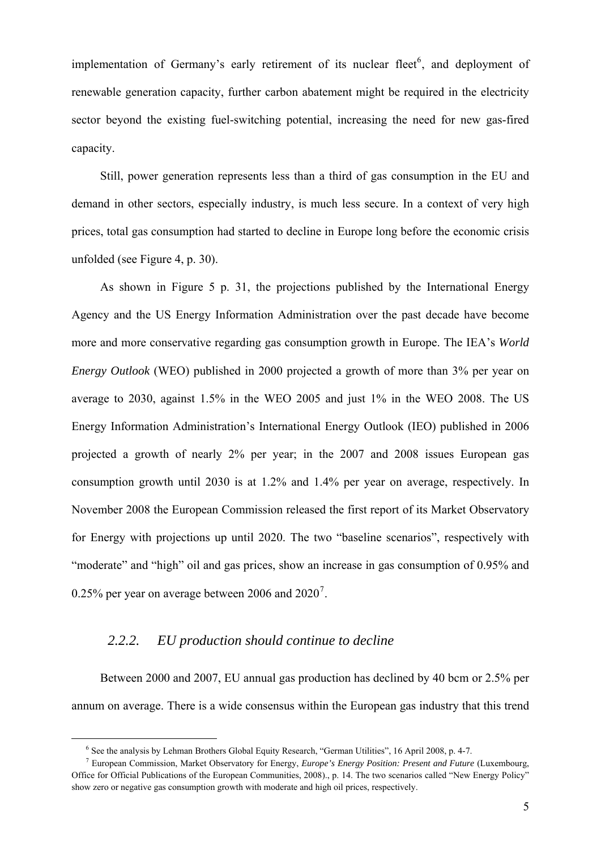implementation of Germany's early retirement of its nuclear fleet<sup>[6](#page-5-0)</sup>, and deployment of renewable generation capacity, further carbon abatement might be required in the electricity sector beyond the existing fuel-switching potential, increasing the need for new gas-fired capacity.

Still, power generation represents less than a third of gas consumption in the EU and demand in other sectors, especially industry, is much less secure. In a context of very high prices, total gas consumption had started to decline in Europe long before the economic crisis unfolded (see [Figure 4](#page-30-0), p. [30](#page-30-0)).

As shown in [Figure 5](#page-31-0) p. [31](#page-31-0), the projections published by the International Energy Agency and the US Energy Information Administration over the past decade have become more and more conservative regarding gas consumption growth in Europe. The IEA's *World Energy Outlook* (WEO) published in 2000 projected a growth of more than 3% per year on average to 2030, against 1.5% in the WEO 2005 and just 1% in the WEO 2008. The US Energy Information Administration's International Energy Outlook (IEO) published in 2006 projected a growth of nearly 2% per year; in the 2007 and 2008 issues European gas consumption growth until 2030 is at 1.2% and 1.4% per year on average, respectively. In November 2008 the European Commission released the first report of its Market Observatory for Energy with projections up until 2020. The two "baseline scenarios", respectively with "moderate" and "high" oil and gas prices, show an increase in gas consumption of 0.95% and 0.25% per year on average between 2006 and  $2020^7$  $2020^7$ .

#### *2.2.2. EU production should continue to decline*

Between 2000 and 2007, EU annual gas production has declined by 40 bcm or 2.5% per annum on average. There is a wide consensus within the European gas industry that this trend

 $\frac{1}{6}$ <sup>6</sup> See the analysis by Lehman Brothers Global Equity Research, "German Utilities", 16 April 2008, p. 4-7.<br><sup>7</sup> European Commission, Market Observatory for Energy, Europe's Energy Besitiesy Present and Euture

<span id="page-5-1"></span><span id="page-5-0"></span>European Commission, Market Observatory for Energy, *Europe's Energy Position: Present and Future* (Luxembourg, Office for Official Publications of the European Communities, 2008)., p. 14. The two scenarios called "New Energy Policy" show zero or negative gas consumption growth with moderate and high oil prices, respectively.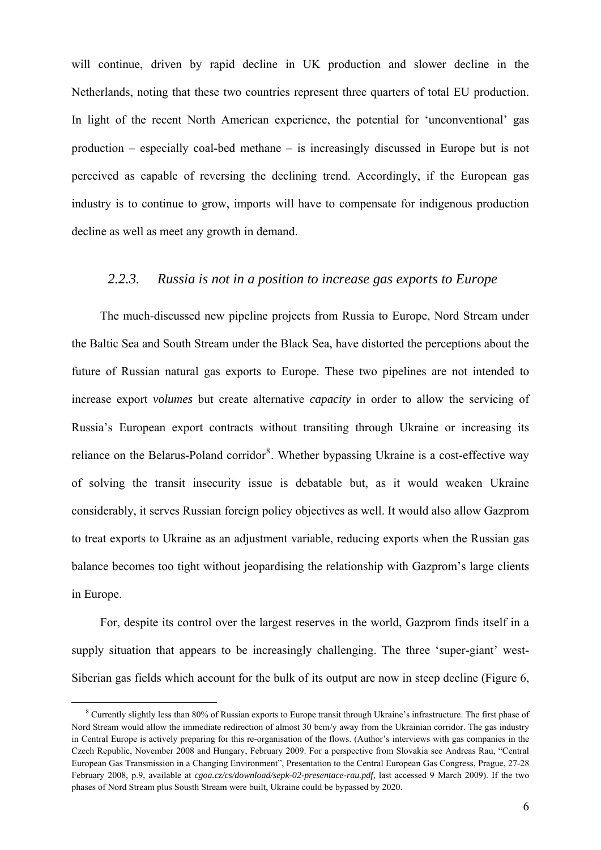will continue, driven by rapid decline in UK production and slower decline in the Netherlands, noting that these two countries represent three quarters of total EU production. In light of the recent North American experience, the potential for 'unconventional' gas production – especially coal-bed methane – is increasingly discussed in Europe but is not perceived as capable of reversing the declining trend. Accordingly, if the European gas industry is to continue to grow, imports will have to compensate for indigenous production decline as well as meet any growth in demand.

#### *2.2.3. Russia is not in a position to increase gas exports to Europe*

The much-discussed new pipeline projects from Russia to Europe, Nord Stream under the Baltic Sea and South Stream under the Black Sea, have distorted the perceptions about the future of Russian natural gas exports to Europe. These two pipelines are not intended to increase export *volumes* but create alternative *capacity* in order to allow the servicing of Russia's European export contracts without transiting through Ukraine or increasing its reliance on the Belarus-Poland corridor<sup>[8](#page-6-0)</sup>. Whether bypassing Ukraine is a cost-effective way of solving the transit insecurity issue is debatable but, as it would weaken Ukraine considerably, it serves Russian foreign policy objectives as well. It would also allow Gazprom to treat exports to Ukraine as an adjustment variable, reducing exports when the Russian gas balance becomes too tight without jeopardising the relationship with Gazprom's large clients in Europe.

For, despite its control over the largest reserves in the world, Gazprom finds itself in a supply situation that appears to be increasingly challenging. The three 'super-giant' west-Siberian gas fields which account for the bulk of its output are now in steep decline ([Figure 6](#page-32-0),

<span id="page-6-0"></span> $\frac{1}{8}$  Currently slightly less than 80% of Russian exports to Europe transit through Ukraine's infrastructure. The first phase of Nord Stream would allow the immediate redirection of almost 30 bcm/y away from the Ukrainian corridor. The gas industry in Central Europe is actively preparing for this re-organisation of the flows. (Author's interviews with gas companies in the Czech Republic, November 2008 and Hungary, February 2009. For a perspective from Slovakia see Andreas Rau, "Central European Gas Transmission in a Changing Environment", Presentation to the Central European Gas Congress, Prague, 27-28 February 2008, p.9, available at *cgoa.cz/cs/download/sepk-02-presentace-rau.pdf,* last accessed 9 March 2009). If the two phases of Nord Stream plus Sousth Stream were built, Ukraine could be bypassed by 2020.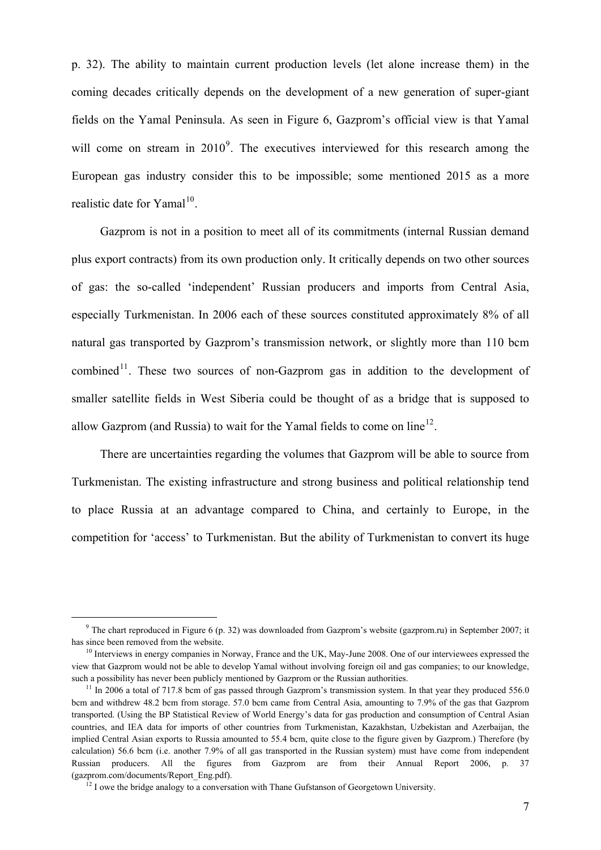p. [32](#page-32-0)). The ability to maintain current production levels (let alone increase them) in the coming decades critically depends on the development of a new generation of super-giant fields on the Yamal Peninsula. As seen in [Figure 6](#page-32-0), Gazprom's official view is that Yamal will come on stream in  $2010^9$  $2010^9$ . The executives interviewed for this research among the European gas industry consider this to be impossible; some mentioned 2015 as a more realistic date for Yamal<sup>[10](#page-7-1)</sup>.

Gazprom is not in a position to meet all of its commitments (internal Russian demand plus export contracts) from its own production only. It critically depends on two other sources of gas: the so-called 'independent' Russian producers and imports from Central Asia, especially Turkmenistan. In 2006 each of these sources constituted approximately 8% of all natural gas transported by Gazprom's transmission network, or slightly more than 110 bcm combined<sup>[11](#page-7-2)</sup>. These two sources of non-Gazprom gas in addition to the development of smaller satellite fields in West Siberia could be thought of as a bridge that is supposed to allow Gazprom (and Russia) to wait for the Yamal fields to come on line<sup>[12](#page-7-3)</sup>.

There are uncertainties regarding the volumes that Gazprom will be able to source from Turkmenistan. The existing infrastructure and strong business and political relationship tend to place Russia at an advantage compared to China, and certainly to Europe, in the competition for 'access' to Turkmenistan. But the ability of Turkmenistan to convert its huge

 $\frac{1}{\sqrt{9}}$ <sup>9</sup> The chart reproduced in Figure 6 (p. 32) was downloaded from Gazprom's website (gazprom.ru) in September 2007; it has since been removed from the website.<br><sup>10</sup> Interviews in energy companies in Norway, France and the UK, May-June 2008. One of our interviewees expressed the

view that Gazprom would not be able to develop Yamal without involving foreign oil and gas companies; to our knowledge, such a possibility has never been publicly mentioned by Gazprom or the Russian authorities.<br><sup>11</sup> In 2006 a total of 717.8 bcm of gas passed through Gazprom's transmission system. In that year they produced 556.0

bcm and withdrew 48.2 bcm from storage. 57.0 bcm came from Central Asia, amounting to 7.9% of the gas that Gazprom transported. (Using the BP Statistical Review of World Energy's data for gas production and consumption of Central Asian countries, and IEA data for imports of other countries from Turkmenistan, Kazakhstan, Uzbekistan and Azerbaijan, the implied Central Asian exports to Russia amounted to 55.4 bcm, quite close to the figure given by Gazprom.) Therefore (by calculation) 56.6 bcm (i.e. another 7.9% of all gas transported in the Russian system) must have come from independent Russian producers. All the figures from Gazprom are from their Annual Report 2006, p. 37 (gazprom.com/documents/Report\_Eng.pdf). 12 I owe the bridge analogy to a conversation with Thane Gufstanson of Georgetown University.

<span id="page-7-3"></span><span id="page-7-2"></span><span id="page-7-1"></span><span id="page-7-0"></span>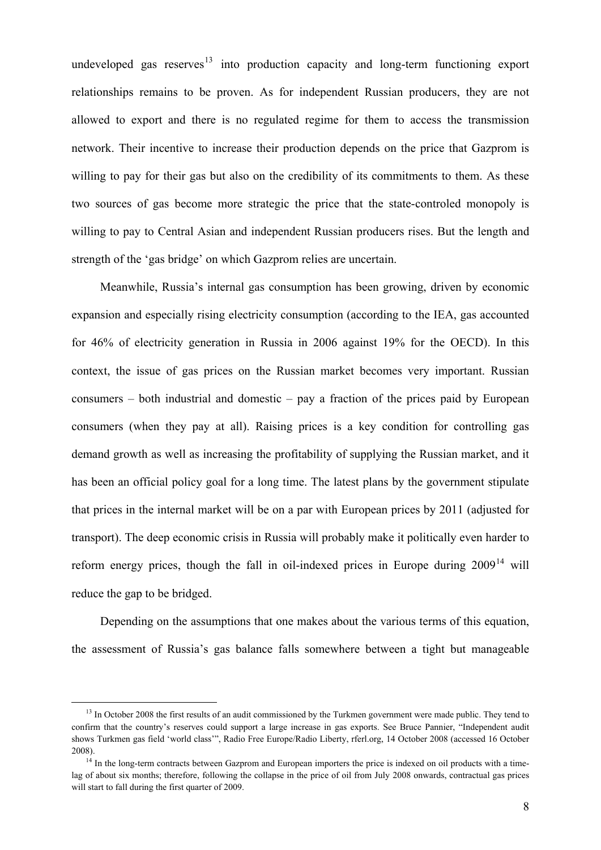undeveloped gas reserves<sup>[13](#page-8-0)</sup> into production capacity and long-term functioning export relationships remains to be proven. As for independent Russian producers, they are not allowed to export and there is no regulated regime for them to access the transmission network. Their incentive to increase their production depends on the price that Gazprom is willing to pay for their gas but also on the credibility of its commitments to them. As these two sources of gas become more strategic the price that the state-controled monopoly is willing to pay to Central Asian and independent Russian producers rises. But the length and strength of the 'gas bridge' on which Gazprom relies are uncertain.

Meanwhile, Russia's internal gas consumption has been growing, driven by economic expansion and especially rising electricity consumption (according to the IEA, gas accounted for 46% of electricity generation in Russia in 2006 against 19% for the OECD). In this context, the issue of gas prices on the Russian market becomes very important. Russian consumers – both industrial and domestic – pay a fraction of the prices paid by European consumers (when they pay at all). Raising prices is a key condition for controlling gas demand growth as well as increasing the profitability of supplying the Russian market, and it has been an official policy goal for a long time. The latest plans by the government stipulate that prices in the internal market will be on a par with European prices by 2011 (adjusted for transport). The deep economic crisis in Russia will probably make it politically even harder to reform energy prices, though the fall in oil-indexed prices in Europe during  $2009<sup>14</sup>$  $2009<sup>14</sup>$  $2009<sup>14</sup>$  will reduce the gap to be bridged.

Depending on the assumptions that one makes about the various terms of this equation, the assessment of Russia's gas balance falls somewhere between a tight but manageable

<sup>&</sup>lt;sup>13</sup> In October 2008 the first results of an audit commissioned by the Turkmen government were made public. They tend to confirm that the country's reserves could support a large increase in gas exports. See Bruce Pannier, "Independent audit shows Turkmen gas field 'world class'", Radio Free Europe/Radio Liberty, rferl.org, 14 October 2008 (accessed 16 October 2008).<br><sup>14</sup> In the long-term contracts between Gazprom and European importers the price is indexed on oil products with a time-

<span id="page-8-1"></span><span id="page-8-0"></span>lag of about six months; therefore, following the collapse in the price of oil from July 2008 onwards, contractual gas prices will start to fall during the first quarter of 2009.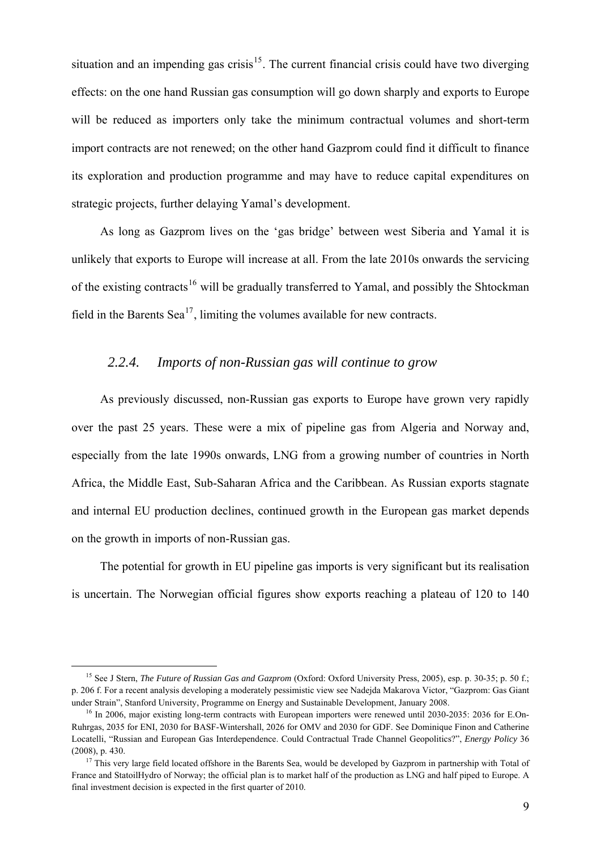situation and an impending gas crisis<sup>[15](#page-9-0)</sup>. The current financial crisis could have two diverging effects: on the one hand Russian gas consumption will go down sharply and exports to Europe will be reduced as importers only take the minimum contractual volumes and short-term import contracts are not renewed; on the other hand Gazprom could find it difficult to finance its exploration and production programme and may have to reduce capital expenditures on strategic projects, further delaying Yamal's development.

As long as Gazprom lives on the 'gas bridge' between west Siberia and Yamal it is unlikely that exports to Europe will increase at all. From the late 2010s onwards the servicing of the existing contracts<sup>[16](#page-9-1)</sup> will be gradually transferred to Yamal, and possibly the Shtockman field in the Barents Sea<sup>[17](#page-9-2)</sup>, limiting the volumes available for new contracts.

#### *2.2.4. Imports of non-Russian gas will continue to grow*

As previously discussed, non-Russian gas exports to Europe have grown very rapidly over the past 25 years. These were a mix of pipeline gas from Algeria and Norway and, especially from the late 1990s onwards, LNG from a growing number of countries in North Africa, the Middle East, Sub-Saharan Africa and the Caribbean. As Russian exports stagnate and internal EU production declines, continued growth in the European gas market depends on the growth in imports of non-Russian gas.

The potential for growth in EU pipeline gas imports is very significant but its realisation is uncertain. The Norwegian official figures show exports reaching a plateau of 120 to 140

 <sup>15</sup> See J Stern, *The Future of Russian Gas and Gazprom* (Oxford: Oxford University Press, 2005), esp. p. 30-35; p. 50 f.; p. 206 f. For a recent analysis developing a moderately pessimistic view see Nadejda Makarova Victor, "Gazprom: Gas Giant under Strain", Stanford University, Programme on Energy and Sustainable Development, January 2008.<br><sup>16</sup> In 2006, major existing long-term contracts with European importers were renewed until 2030-2035: 2036 for E.On-

Ruhrgas, 2035 for ENI, 2030 for BASF-Wintershall, 2026 for OMV and 2030 for GDF. See Dominique Finon and Catherine Locatelli, "Russian and European Gas Interdependence. Could Contractual Trade Channel Geopolitics?", *Energy Policy* 36 (2008), p. 430. 17 This very large field located offshore in the Barents Sea, would be developed by Gazprom in partnership with Total of

<span id="page-9-2"></span><span id="page-9-1"></span><span id="page-9-0"></span>France and StatoilHydro of Norway; the official plan is to market half of the production as LNG and half piped to Europe. A final investment decision is expected in the first quarter of 2010.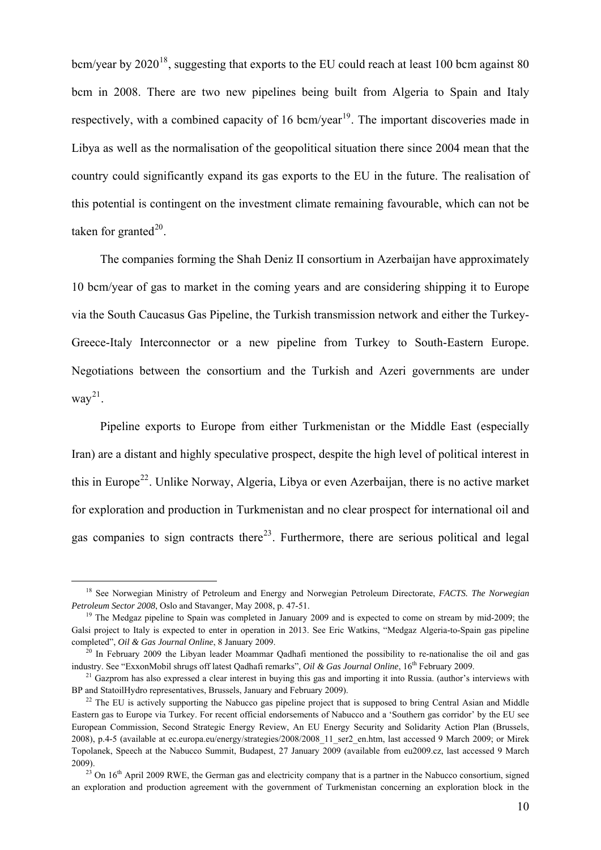bcm/year by  $2020^{18}$  $2020^{18}$  $2020^{18}$ , suggesting that exports to the EU could reach at least 100 bcm against 80 bcm in 2008. There are two new pipelines being built from Algeria to Spain and Italy respectively, with a combined capacity of 16 bcm/year<sup>[19](#page-10-1)</sup>. The important discoveries made in Libya as well as the normalisation of the geopolitical situation there since 2004 mean that the country could significantly expand its gas exports to the EU in the future. The realisation of this potential is contingent on the investment climate remaining favourable, which can not be taken for granted $^{20}$  $^{20}$  $^{20}$ .

The companies forming the Shah Deniz II consortium in Azerbaijan have approximately 10 bcm/year of gas to market in the coming years and are considering shipping it to Europe via the South Caucasus Gas Pipeline, the Turkish transmission network and either the Turkey-Greece-Italy Interconnector or a new pipeline from Turkey to South-Eastern Europe. Negotiations between the consortium and the Turkish and Azeri governments are under  $way^{21}$  $way^{21}$  $way^{21}$ .

Pipeline exports to Europe from either Turkmenistan or the Middle East (especially Iran) are a distant and highly speculative prospect, despite the high level of political interest in this in Europe<sup>[22](#page-10-4)</sup>. Unlike Norway, Algeria, Libya or even Azerbaijan, there is no active market for exploration and production in Turkmenistan and no clear prospect for international oil and gas companies to sign contracts there<sup>[23](#page-10-5)</sup>. Furthermore, there are serious political and legal

 <sup>18</sup> See Norwegian Ministry of Petroleum and Energy and Norwegian Petroleum Directorate, *FACTS. The Norwegian Petroleum Sector 2008*, Oslo and Stavanger, May 2008, p. 47-51.<br><sup>19</sup> The Medgaz pipeline to Spain was completed in January 2009 and is expected to come on stream by mid-2009; the

Galsi project to Italy is expected to enter in operation in 2013. See Eric Watkins, "Medgaz Algeria-to-Spain gas pipeline completed", *Oil & Gas Journal Online*, 8 January 2009.<br><sup>20</sup> In February 2009 the Libyan leader Moammar Qadhafi mentioned the possibility to re-nationalise the oil and gas

industry. See "ExxonMobil shrugs off latest Qadhafi remarks", *Oil & Gas Journal Online*,  $16^{th}$  February 2009.<br><sup>21</sup> Gazprom has also expressed a clear interest in buying this gas and importing it into Russia. (author's

BP and StatoilHydro representatives, Brussels, January and February 2009).<br><sup>22</sup> The EU is actively supporting the Nabucco gas pipeline project that is supposed to bring Central Asian and Middle

Eastern gas to Europe via Turkey. For recent official endorsements of Nabucco and a 'Southern gas corridor' by the EU see European Commission, Second Strategic Energy Review, An EU Energy Security and Solidarity Action Plan (Brussels, 2008), p.4-5 (available at ec.europa.eu/energy/strategies/2008/2008\_11\_ser2\_en.htm, last accessed 9 March 2009; or Mirek Topolanek, Speech at the Nabucco Summit, Budapest, 27 January 2009 (available from eu2009.cz, last accessed 9 March 2009).<br><sup>23</sup> On 16<sup>th</sup> April 2009 RWE, the German gas and electricity company that is a partner in the Nabucco consortium, signed

<span id="page-10-5"></span><span id="page-10-4"></span><span id="page-10-3"></span><span id="page-10-2"></span><span id="page-10-1"></span><span id="page-10-0"></span>an exploration and production agreement with the government of Turkmenistan concerning an exploration block in the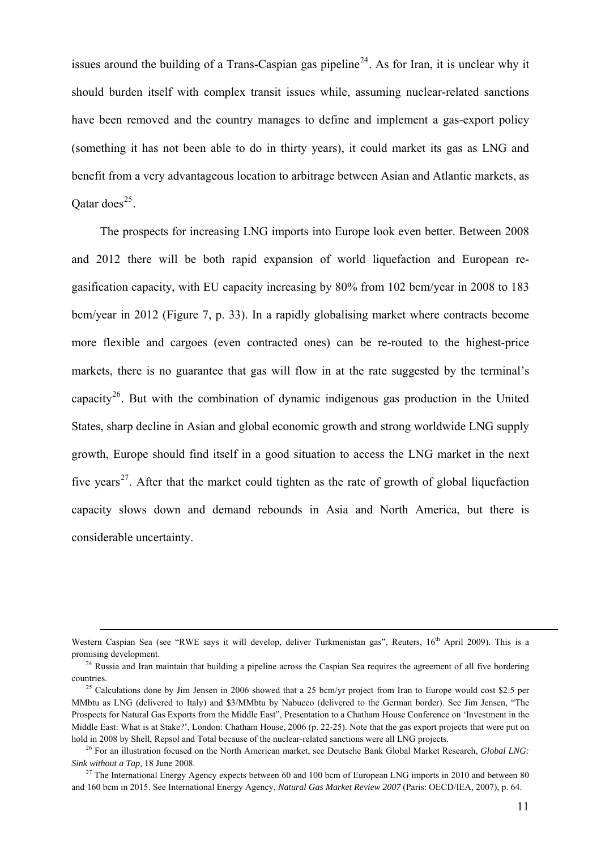issues around the building of a Trans-Caspian gas pipeline<sup>[24](#page-11-0)</sup>. As for Iran, it is unclear why it should burden itself with complex transit issues while, assuming nuclear-related sanctions have been removed and the country manages to define and implement a gas-export policy (something it has not been able to do in thirty years), it could market its gas as LNG and benefit from a very advantageous location to arbitrage between Asian and Atlantic markets, as Oatar does<sup>[25](#page-11-1)</sup>.

The prospects for increasing LNG imports into Europe look even better. Between 2008 and 2012 there will be both rapid expansion of world liquefaction and European regasification capacity, with EU capacity increasing by 80% from 102 bcm/year in 2008 to 183 bcm/year in 2012 [\(Figure 7,](#page-33-0) p. [33\)](#page-33-0). In a rapidly globalising market where contracts become more flexible and cargoes (even contracted ones) can be re-routed to the highest-price markets, there is no guarantee that gas will flow in at the rate suggested by the terminal's capacity<sup>[26](#page-11-2)</sup>. But with the combination of dynamic indigenous gas production in the United States, sharp decline in Asian and global economic growth and strong worldwide LNG supply growth, Europe should find itself in a good situation to access the LNG market in the next five years<sup>[27](#page-11-3)</sup>. After that the market could tighten as the rate of growth of global liquefaction capacity slows down and demand rebounds in Asia and North America, but there is considerable uncertainty.

1

Western Caspian Sea (see "RWE says it will develop, deliver Turkmenistan gas", Reuters, 16<sup>th</sup> April 2009). This is a promising development.<br><sup>24</sup> Russia and Iran maintain that building a pipeline across the Caspian Sea requires the agreement of all five bordering

countries. 25 Calculations done by Jim Jensen in 2006 showed that a 25 bcm/yr project from Iran to Europe would cost \$2.5 per

MMbtu as LNG (delivered to Italy) and \$3/MMbtu by Nabucco (delivered to the German border). See Jim Jensen, "The Prospects for Natural Gas Exports from the Middle East", Presentation to a Chatham House Conference on 'Investment in the Middle East: What is at Stake?', London: Chatham House, 2006 (p. 22-25). Note that the gas export projects that were put on hold in 2008 by Shell, Repsol and Total because of the nuclear-related sanctions were all LNG projects.<br><sup>26</sup> For an illustration focused on the North American market, see Deutsche Bank Global Market Research, *Global LNG*:

*Sink without a Tap*, 18 June 2008. 27 The International Energy Agency expects between 60 and 100 bcm of European LNG imports in 2010 and between 80

<span id="page-11-3"></span><span id="page-11-2"></span><span id="page-11-1"></span><span id="page-11-0"></span>and 160 bcm in 2015. See International Energy Agency, *Natural Gas Market Review 2007* (Paris: OECD/IEA, 2007), p. 64.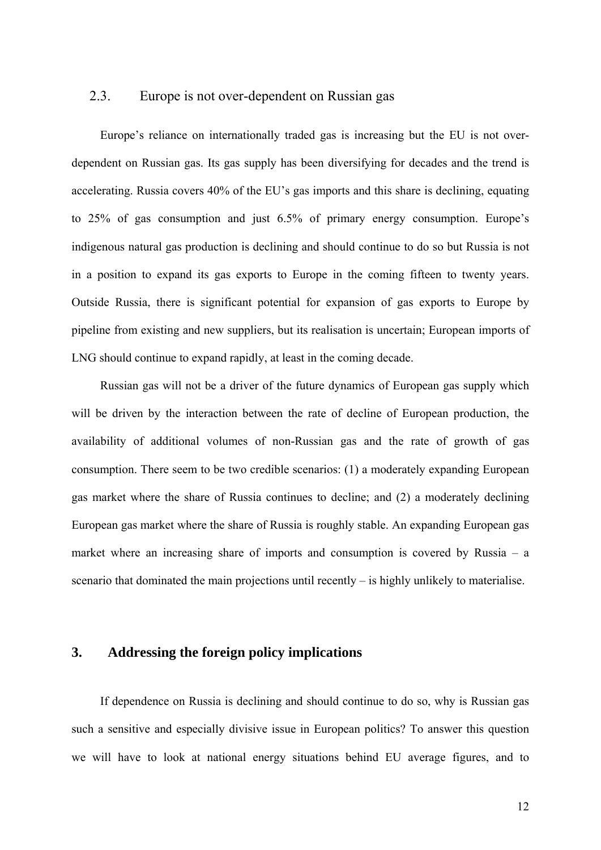#### 2.3. Europe is not over-dependent on Russian gas

Europe's reliance on internationally traded gas is increasing but the EU is not overdependent on Russian gas. Its gas supply has been diversifying for decades and the trend is accelerating. Russia covers 40% of the EU's gas imports and this share is declining, equating to 25% of gas consumption and just 6.5% of primary energy consumption. Europe's indigenous natural gas production is declining and should continue to do so but Russia is not in a position to expand its gas exports to Europe in the coming fifteen to twenty years. Outside Russia, there is significant potential for expansion of gas exports to Europe by pipeline from existing and new suppliers, but its realisation is uncertain; European imports of LNG should continue to expand rapidly, at least in the coming decade.

Russian gas will not be a driver of the future dynamics of European gas supply which will be driven by the interaction between the rate of decline of European production, the availability of additional volumes of non-Russian gas and the rate of growth of gas consumption. There seem to be two credible scenarios: (1) a moderately expanding European gas market where the share of Russia continues to decline; and (2) a moderately declining European gas market where the share of Russia is roughly stable. An expanding European gas market where an increasing share of imports and consumption is covered by Russia – a scenario that dominated the main projections until recently – is highly unlikely to materialise.

#### **3. Addressing the foreign policy implications**

If dependence on Russia is declining and should continue to do so, why is Russian gas such a sensitive and especially divisive issue in European politics? To answer this question we will have to look at national energy situations behind EU average figures, and to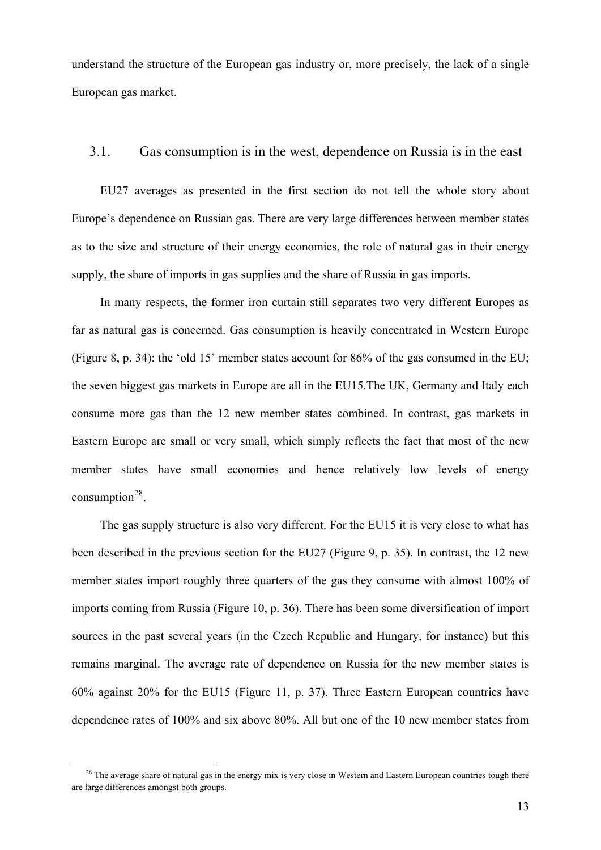understand the structure of the European gas industry or, more precisely, the lack of a single European gas market.

#### 3.1. Gas consumption is in the west, dependence on Russia is in the east

EU27 averages as presented in the first section do not tell the whole story about Europe's dependence on Russian gas. There are very large differences between member states as to the size and structure of their energy economies, the role of natural gas in their energy supply, the share of imports in gas supplies and the share of Russia in gas imports.

In many respects, the former iron curtain still separates two very different Europes as far as natural gas is concerned. Gas consumption is heavily concentrated in Western Europe ([Figure 8,](#page-34-0) p. [34](#page-34-0)): the 'old 15' member states account for 86% of the gas consumed in the EU; the seven biggest gas markets in Europe are all in the EU15.The UK, Germany and Italy each consume more gas than the 12 new member states combined. In contrast, gas markets in Eastern Europe are small or very small, which simply reflects the fact that most of the new member states have small economies and hence relatively low levels of energy consumption<sup>[28](#page-13-0)</sup>.

The gas supply structure is also very different. For the EU15 it is very close to what has been described in the previous section for the EU27 ([Figure 9,](#page-35-0) p. [35](#page-35-0)). In contrast, the 12 new member states import roughly three quarters of the gas they consume with almost 100% of imports coming from Russia [\(Figure 10,](#page-36-0) p. [36](#page-36-0)). There has been some diversification of import sources in the past several years (in the Czech Republic and Hungary, for instance) but this remains marginal. The average rate of dependence on Russia for the new member states is 60% against 20% for the EU15 ([Figure 11,](#page-37-0) p. [37](#page-37-0)). Three Eastern European countries have dependence rates of 100% and six above 80%. All but one of the 10 new member states from

<span id="page-13-0"></span><sup>&</sup>lt;sup>28</sup> The average share of natural gas in the energy mix is very close in Western and Eastern European countries tough there are large differences amongst both groups.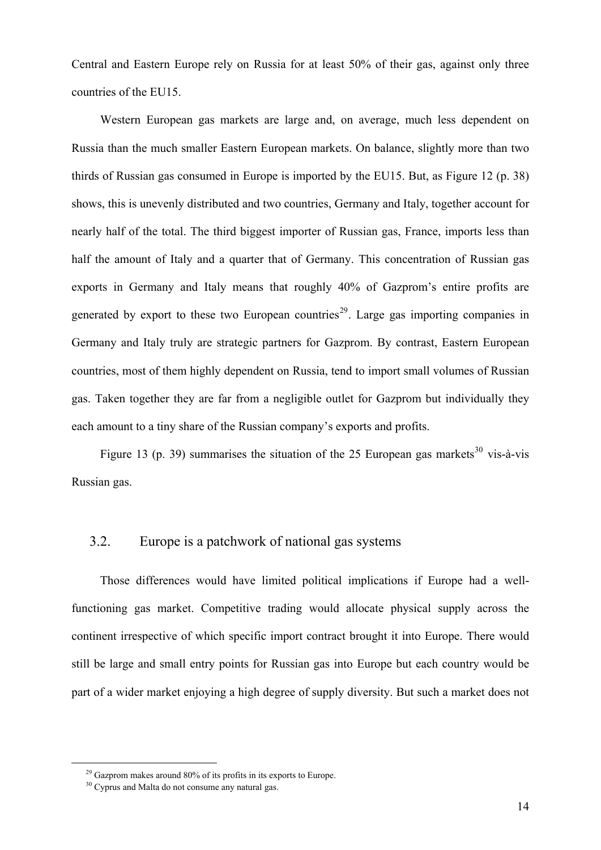Central and Eastern Europe rely on Russia for at least 50% of their gas, against only three countries of the EU15.

Western European gas markets are large and, on average, much less dependent on Russia than the much smaller Eastern European markets. On balance, slightly more than two thirds of Russian gas consumed in Europe is imported by the EU15. But, as [Figure 12](#page-38-0) (p. [38](#page-38-0)) shows, this is unevenly distributed and two countries, Germany and Italy, together account for nearly half of the total. The third biggest importer of Russian gas, France, imports less than half the amount of Italy and a quarter that of Germany. This concentration of Russian gas exports in Germany and Italy means that roughly 40% of Gazprom's entire profits are generated by export to these two European countries<sup>[29](#page-14-0)</sup>. Large gas importing companies in Germany and Italy truly are strategic partners for Gazprom. By contrast, Eastern European countries, most of them highly dependent on Russia, tend to import small volumes of Russian gas. Taken together they are far from a negligible outlet for Gazprom but individually they each amount to a tiny share of the Russian company's exports and profits.

[Figure 13](#page-39-0) (p. [39\)](#page-39-0) summarises the situation of the 25 European gas markets<sup>[30](#page-14-1)</sup> vis-à-vis Russian gas.

#### 3.2. Europe is a patchwork of national gas systems

Those differences would have limited political implications if Europe had a wellfunctioning gas market. Competitive trading would allocate physical supply across the continent irrespective of which specific import contract brought it into Europe. There would still be large and small entry points for Russian gas into Europe but each country would be part of a wider market enjoying a high degree of supply diversity. But such a market does not

 $29$  Gazprom makes around 80% of its profits in its exports to Europe.

<span id="page-14-1"></span><span id="page-14-0"></span><sup>&</sup>lt;sup>30</sup> Cyprus and Malta do not consume any natural gas.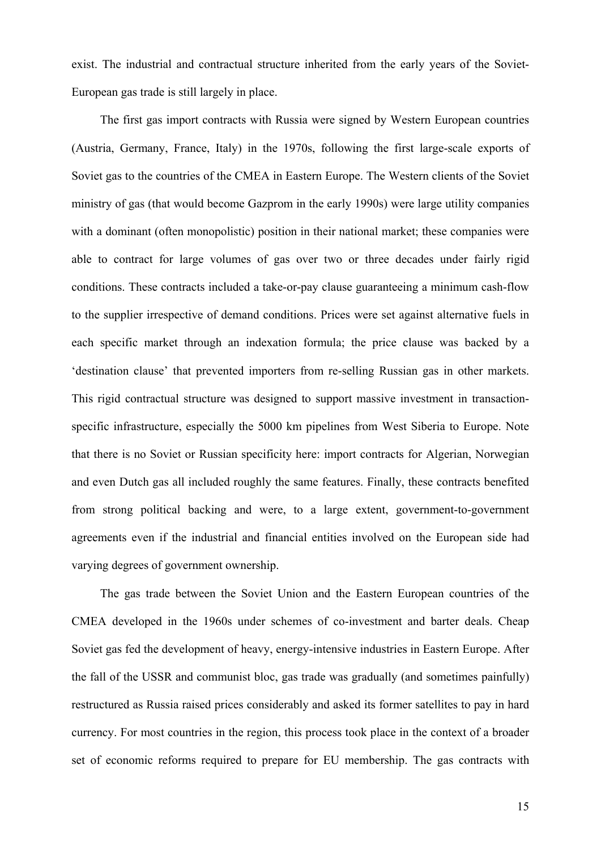exist. The industrial and contractual structure inherited from the early years of the Soviet-European gas trade is still largely in place.

The first gas import contracts with Russia were signed by Western European countries (Austria, Germany, France, Italy) in the 1970s, following the first large-scale exports of Soviet gas to the countries of the CMEA in Eastern Europe. The Western clients of the Soviet ministry of gas (that would become Gazprom in the early 1990s) were large utility companies with a dominant (often monopolistic) position in their national market; these companies were able to contract for large volumes of gas over two or three decades under fairly rigid conditions. These contracts included a take-or-pay clause guaranteeing a minimum cash-flow to the supplier irrespective of demand conditions. Prices were set against alternative fuels in each specific market through an indexation formula; the price clause was backed by a 'destination clause' that prevented importers from re-selling Russian gas in other markets. This rigid contractual structure was designed to support massive investment in transactionspecific infrastructure, especially the 5000 km pipelines from West Siberia to Europe. Note that there is no Soviet or Russian specificity here: import contracts for Algerian, Norwegian and even Dutch gas all included roughly the same features. Finally, these contracts benefited from strong political backing and were, to a large extent, government-to-government agreements even if the industrial and financial entities involved on the European side had varying degrees of government ownership.

The gas trade between the Soviet Union and the Eastern European countries of the CMEA developed in the 1960s under schemes of co-investment and barter deals. Cheap Soviet gas fed the development of heavy, energy-intensive industries in Eastern Europe. After the fall of the USSR and communist bloc, gas trade was gradually (and sometimes painfully) restructured as Russia raised prices considerably and asked its former satellites to pay in hard currency. For most countries in the region, this process took place in the context of a broader set of economic reforms required to prepare for EU membership. The gas contracts with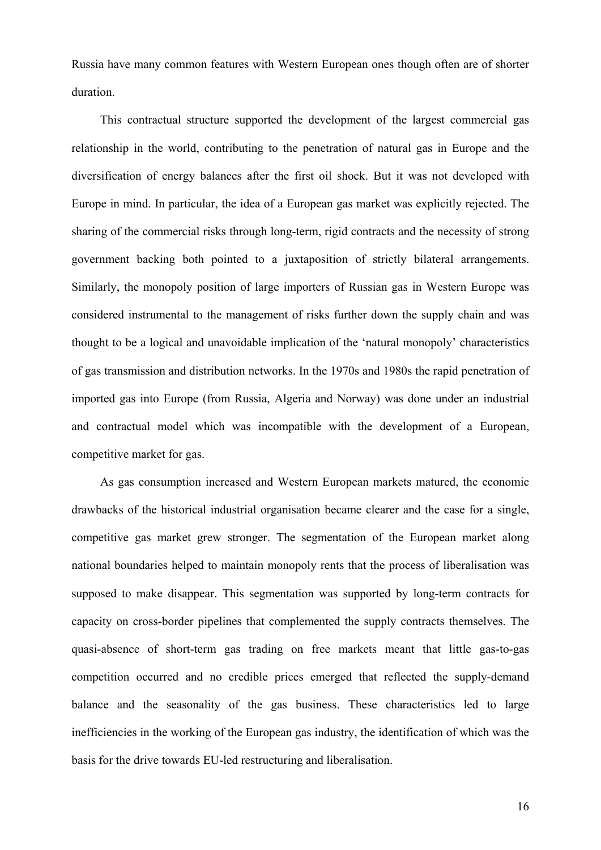Russia have many common features with Western European ones though often are of shorter duration.

This contractual structure supported the development of the largest commercial gas relationship in the world, contributing to the penetration of natural gas in Europe and the diversification of energy balances after the first oil shock. But it was not developed with Europe in mind. In particular, the idea of a European gas market was explicitly rejected. The sharing of the commercial risks through long-term, rigid contracts and the necessity of strong government backing both pointed to a juxtaposition of strictly bilateral arrangements. Similarly, the monopoly position of large importers of Russian gas in Western Europe was considered instrumental to the management of risks further down the supply chain and was thought to be a logical and unavoidable implication of the 'natural monopoly' characteristics of gas transmission and distribution networks. In the 1970s and 1980s the rapid penetration of imported gas into Europe (from Russia, Algeria and Norway) was done under an industrial and contractual model which was incompatible with the development of a European, competitive market for gas.

As gas consumption increased and Western European markets matured, the economic drawbacks of the historical industrial organisation became clearer and the case for a single, competitive gas market grew stronger. The segmentation of the European market along national boundaries helped to maintain monopoly rents that the process of liberalisation was supposed to make disappear. This segmentation was supported by long-term contracts for capacity on cross-border pipelines that complemented the supply contracts themselves. The quasi-absence of short-term gas trading on free markets meant that little gas-to-gas competition occurred and no credible prices emerged that reflected the supply-demand balance and the seasonality of the gas business. These characteristics led to large inefficiencies in the working of the European gas industry, the identification of which was the basis for the drive towards EU-led restructuring and liberalisation.

16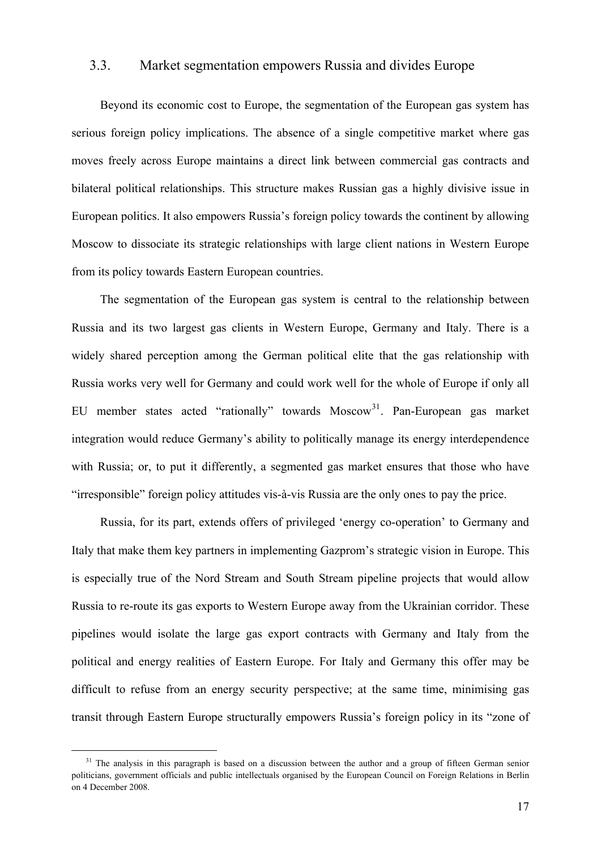#### <span id="page-17-0"></span>3.3. Market segmentation empowers Russia and divides Europe

Beyond its economic cost to Europe, the segmentation of the European gas system has serious foreign policy implications. The absence of a single competitive market where gas moves freely across Europe maintains a direct link between commercial gas contracts and bilateral political relationships. This structure makes Russian gas a highly divisive issue in European politics. It also empowers Russia's foreign policy towards the continent by allowing Moscow to dissociate its strategic relationships with large client nations in Western Europe from its policy towards Eastern European countries.

The segmentation of the European gas system is central to the relationship between Russia and its two largest gas clients in Western Europe, Germany and Italy. There is a widely shared perception among the German political elite that the gas relationship with Russia works very well for Germany and could work well for the whole of Europe if only all EU member states acted "rationally" towards Moscow<sup>[31](#page-17-0)</sup>. Pan-European gas market integration would reduce Germany's ability to politically manage its energy interdependence with Russia; or, to put it differently, a segmented gas market ensures that those who have "irresponsible" foreign policy attitudes vis-à-vis Russia are the only ones to pay the price.

Russia, for its part, extends offers of privileged 'energy co-operation' to Germany and Italy that make them key partners in implementing Gazprom's strategic vision in Europe. This is especially true of the Nord Stream and South Stream pipeline projects that would allow Russia to re-route its gas exports to Western Europe away from the Ukrainian corridor. These pipelines would isolate the large gas export contracts with Germany and Italy from the political and energy realities of Eastern Europe. For Italy and Germany this offer may be difficult to refuse from an energy security perspective; at the same time, minimising gas transit through Eastern Europe structurally empowers Russia's foreign policy in its "zone of

 $31$  The analysis in this paragraph is based on a discussion between the author and a group of fifteen German senior politicians, government officials and public intellectuals organised by the European Council on Foreign Relations in Berlin on 4 December 2008.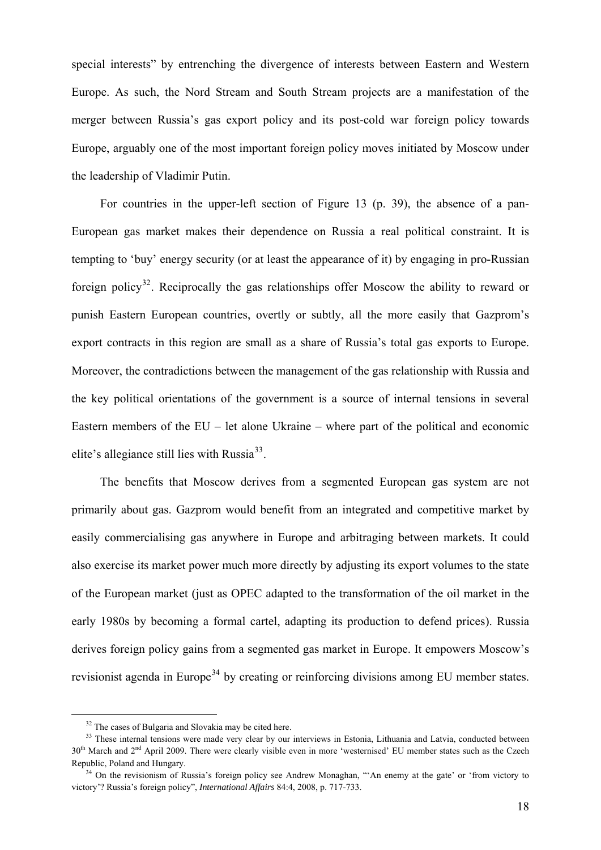<span id="page-18-0"></span>special interests" by entrenching the divergence of interests between Eastern and Western Europe. As such, the Nord Stream and South Stream projects are a manifestation of the merger between Russia's gas export policy and its post-cold war foreign policy towards Europe, arguably one of the most important foreign policy moves initiated by Moscow under the leadership of Vladimir Putin.

For countries in the upper-left section of [Figure 13](#page-39-0) (p. [39\)](#page-39-0), the absence of a pan-European gas market makes their dependence on Russia a real political constraint. It is tempting to 'buy' energy security (or at least the appearance of it) by engaging in pro-Russian foreign policy<sup>[32](#page-18-0)</sup>. Reciprocally the gas relationships offer Moscow the ability to reward or punish Eastern European countries, overtly or subtly, all the more easily that Gazprom's export contracts in this region are small as a share of Russia's total gas exports to Europe. Moreover, the contradictions between the management of the gas relationship with Russia and the key political orientations of the government is a source of internal tensions in several Eastern members of the  $EU - let$  alone Ukraine – where part of the political and economic elite's allegiance still lies with Russia $^{33}$  $^{33}$  $^{33}$ .

The benefits that Moscow derives from a segmented European gas system are not primarily about gas. Gazprom would benefit from an integrated and competitive market by easily commercialising gas anywhere in Europe and arbitraging between markets. It could also exercise its market power much more directly by adjusting its export volumes to the state of the European market (just as OPEC adapted to the transformation of the oil market in the early 1980s by becoming a formal cartel, adapting its production to defend prices). Russia derives foreign policy gains from a segmented gas market in Europe. It empowers Moscow's revisionist agenda in Europe<sup>[34](#page-18-0)</sup> by creating or reinforcing divisions among EU member states.

<sup>&</sup>lt;sup>32</sup> The cases of Bulgaria and Slovakia may be cited here.

<sup>&</sup>lt;sup>33</sup> These internal tensions were made very clear by our interviews in Estonia, Lithuania and Latvia, conducted between 30<sup>th</sup> March and 2<sup>nd</sup> April 2009. There were clearly visible even in more 'westernised' EU member states such as the Czech Republic, Poland and Hungary.<br><sup>34</sup> On the revisionism of Russia's foreign policy see Andrew Monaghan, "'An enemy at the gate' or 'from victory to

victory'? Russia's foreign policy", *International Affairs* 84:4, 2008, p. 717-733.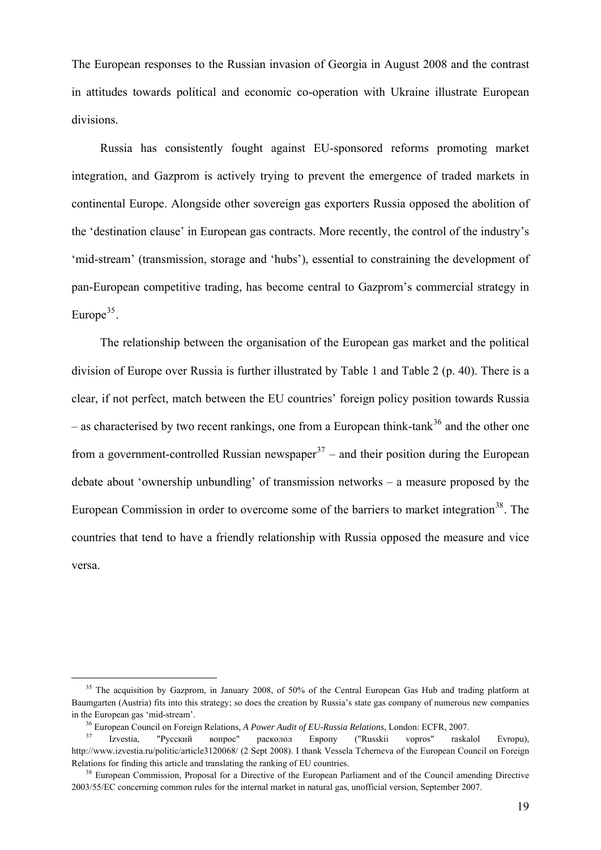<span id="page-19-0"></span>The European responses to the Russian invasion of Georgia in August 2008 and the contrast in attitudes towards political and economic co-operation with Ukraine illustrate European divisions.

Russia has consistently fought against EU-sponsored reforms promoting market integration, and Gazprom is actively trying to prevent the emergence of traded markets in continental Europe. Alongside other sovereign gas exporters Russia opposed the abolition of the 'destination clause' in European gas contracts. More recently, the control of the industry's 'mid-stream' (transmission, storage and 'hubs'), essential to constraining the development of pan-European competitive trading, has become central to Gazprom's commercial strategy in Europe<sup>[35](#page-19-0)</sup>.

The relationship between the organisation of the European gas market and the political division of Europe over Russia is further illustrated by [Table 1](#page-40-0) and [Table 2](#page-40-0) (p. [40](#page-40-0)). There is a clear, if not perfect, match between the EU countries' foreign policy position towards Russia – as characterised by two recent rankings, one from a European think-tank<sup>[36](#page-19-0)</sup> and the other one from a government-controlled Russian newspaper<sup>[37](#page-19-0)</sup> – and their position during the European debate about 'ownership unbundling' of transmission networks – a measure proposed by the European Commission in order to overcome some of the barriers to market integration<sup>[38](#page-19-0)</sup>. The countries that tend to have a friendly relationship with Russia opposed the measure and vice versa.

<sup>&</sup>lt;sup>35</sup> The acquisition by Gazprom, in January 2008, of 50% of the Central European Gas Hub and trading platform at Baumgarten (Austria) fits into this strategy; so does the creation by Russia's state gas company of numerous new companies in the European gas 'mid-stream'. 36 European Council on Foreign Relations, *A Power Audit of EU-Russia Relations*, London: ECFR, 2007. 37 Izvestia, "Русский вопрос" расколол Европу ("Russkii vopros" raskalol Evropu),

http://www.izvestia.ru/politic/article3120068/ (2 Sept 2008). I thank Vessela Tcherneva of the European Council on Foreign Relations for finding this article and translating the ranking of EU countries.<br><sup>38</sup> European Commission, Proposal for a Directive of the European Parliament and of the Council amending Directive

<sup>2003/55/</sup>EC concerning common rules for the internal market in natural gas, unofficial version, September 2007.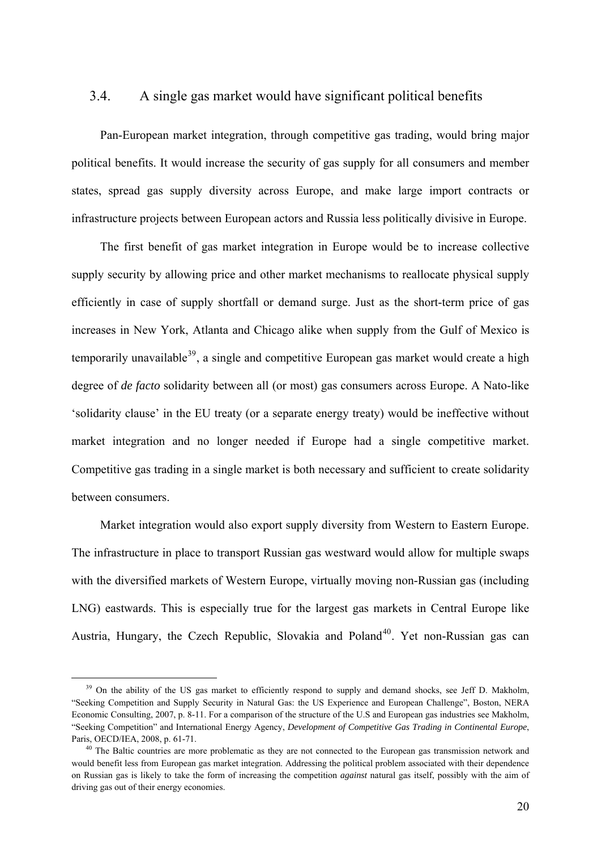### <span id="page-20-0"></span>3.4. A single gas market would have significant political benefits

Pan-European market integration, through competitive gas trading, would bring major political benefits. It would increase the security of gas supply for all consumers and member states, spread gas supply diversity across Europe, and make large import contracts or infrastructure projects between European actors and Russia less politically divisive in Europe.

The first benefit of gas market integration in Europe would be to increase collective supply security by allowing price and other market mechanisms to reallocate physical supply efficiently in case of supply shortfall or demand surge. Just as the short-term price of gas increases in New York, Atlanta and Chicago alike when supply from the Gulf of Mexico is temporarily unavailable<sup>[39](#page-20-0)</sup>, a single and competitive European gas market would create a high degree of *de facto* solidarity between all (or most) gas consumers across Europe. A Nato-like 'solidarity clause' in the EU treaty (or a separate energy treaty) would be ineffective without market integration and no longer needed if Europe had a single competitive market. Competitive gas trading in a single market is both necessary and sufficient to create solidarity between consumers.

Market integration would also export supply diversity from Western to Eastern Europe. The infrastructure in place to transport Russian gas westward would allow for multiple swaps with the diversified markets of Western Europe, virtually moving non-Russian gas (including LNG) eastwards. This is especially true for the largest gas markets in Central Europe like Austria, Hungary, the Czech Republic, Slovakia and Poland<sup>[40](#page-20-0)</sup>. Yet non-Russian gas can

<sup>&</sup>lt;sup>39</sup> On the ability of the US gas market to efficiently respond to supply and demand shocks, see Jeff D. Makholm, "Seeking Competition and Supply Security in Natural Gas: the US Experience and European Challenge", Boston, NERA Economic Consulting, 2007, p. 8-11. For a comparison of the structure of the U.S and European gas industries see Makholm, "Seeking Competition" and International Energy Agency, *Development of Competitive Gas Trading in Continental Europe*, Paris, OECD/IEA, 2008, p. 61-71.<br><sup>40</sup> The Baltic countries are more problematic as they are not connected to the European gas transmission network and

would benefit less from European gas market integration. Addressing the political problem associated with their dependence on Russian gas is likely to take the form of increasing the competition *against* natural gas itself, possibly with the aim of driving gas out of their energy economies.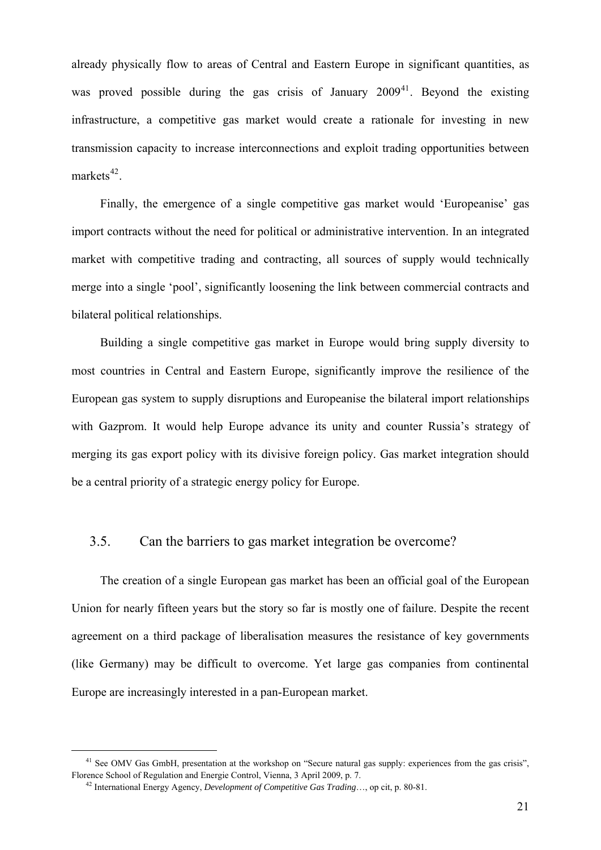<span id="page-21-0"></span>already physically flow to areas of Central and Eastern Europe in significant quantities, as was proved possible during the gas crisis of January  $2009<sup>41</sup>$  $2009<sup>41</sup>$  $2009<sup>41</sup>$ . Beyond the existing infrastructure, a competitive gas market would create a rationale for investing in new transmission capacity to increase interconnections and exploit trading opportunities between markets $42$ 

Finally, the emergence of a single competitive gas market would 'Europeanise' gas import contracts without the need for political or administrative intervention. In an integrated market with competitive trading and contracting, all sources of supply would technically merge into a single 'pool', significantly loosening the link between commercial contracts and bilateral political relationships.

Building a single competitive gas market in Europe would bring supply diversity to most countries in Central and Eastern Europe, significantly improve the resilience of the European gas system to supply disruptions and Europeanise the bilateral import relationships with Gazprom. It would help Europe advance its unity and counter Russia's strategy of merging its gas export policy with its divisive foreign policy. Gas market integration should be a central priority of a strategic energy policy for Europe.

#### 3.5. Can the barriers to gas market integration be overcome?

The creation of a single European gas market has been an official goal of the European Union for nearly fifteen years but the story so far is mostly one of failure. Despite the recent agreement on a third package of liberalisation measures the resistance of key governments (like Germany) may be difficult to overcome. Yet large gas companies from continental Europe are increasingly interested in a pan-European market.

<sup>&</sup>lt;sup>41</sup> See OMV Gas GmbH, presentation at the workshop on "Secure natural gas supply: experiences from the gas crisis", Florence School of Regulation and Energie Control, Vienna, 3 April 2009, p. 7. 42 International Energy Agency, *Development of Competitive Gas Trading*…, op cit, p. 80-81.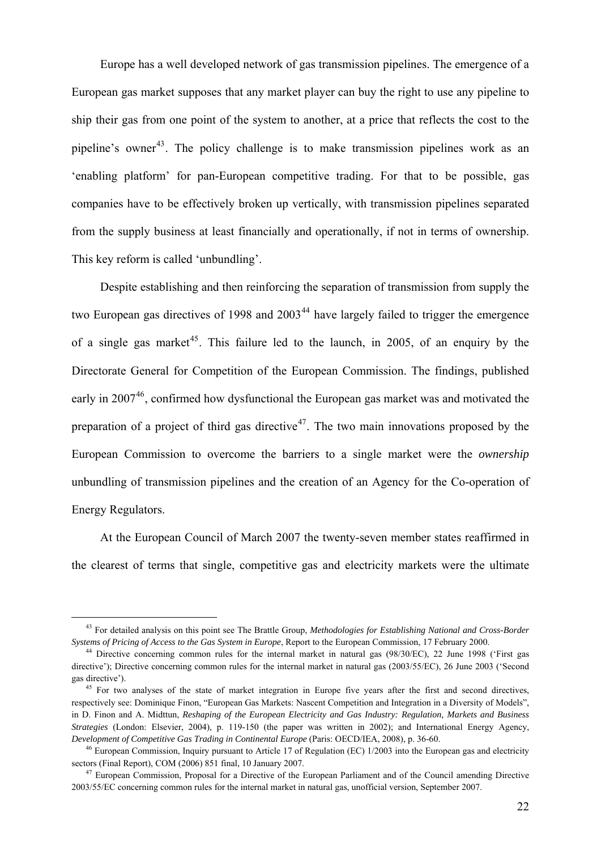<span id="page-22-0"></span>Europe has a well developed network of gas transmission pipelines. The emergence of a European gas market supposes that any market player can buy the right to use any pipeline to ship their gas from one point of the system to another, at a price that reflects the cost to the pipeline's owner<sup>[43](#page-22-0)</sup>. The policy challenge is to make transmission pipelines work as an 'enabling platform' for pan-European competitive trading. For that to be possible, gas companies have to be effectively broken up vertically, with transmission pipelines separated from the supply business at least financially and operationally, if not in terms of ownership. This key reform is called 'unbundling'.

Despite establishing and then reinforcing the separation of transmission from supply the two European gas directives of 1998 and  $2003<sup>44</sup>$  $2003<sup>44</sup>$  $2003<sup>44</sup>$  have largely failed to trigger the emergence of a single gas market<sup>[45](#page-22-0)</sup>. This failure led to the launch, in 2005, of an enquiry by the Directorate General for Competition of the European Commission. The findings, published early in 2007<sup>[46](#page-22-0)</sup>, confirmed how dysfunctional the European gas market was and motivated the preparation of a project of third gas directive<sup>[47](#page-22-0)</sup>. The two main innovations proposed by the European Commission to overcome the barriers to a single market were the *ownership* unbundling of transmission pipelines and the creation of an Agency for the Co-operation of Energy Regulators.

At the European Council of March 2007 the twenty-seven member states reaffirmed in the clearest of terms that single, competitive gas and electricity markets were the ultimate

 <sup>43</sup> For detailed analysis on this point see The Brattle Group, *Methodologies for Establishing National and Cross-Border*  Systems of Pricing of Access to the Gas System in Europe, Report to the European Commission, 17 February 2000.<br><sup>44</sup> Directive concerning common rules for the internal market in natural gas (98/30/EC), 22 June 1998 ('First

directive'); Directive concerning common rules for the internal market in natural gas (2003/55/EC), 26 June 2003 ('Second gas directive').<br><sup>45</sup> For two analyses of the state of market integration in Europe five years after the first and second directives,

respectively see: Dominique Finon, "European Gas Markets: Nascent Competition and Integration in a Diversity of Models", in D. Finon and A. Midttun, *Reshaping of the European Electricity and Gas Industry: Regulation, Markets and Business Strategies* (London: Elsevier, 2004), p. 119-150 (the paper was written in 2002); and International Energy Agency, *Development of Competitive Gas Trading in Continental Europe* (Paris: OECD/IEA, 2008), p. 36-60.<br><sup>46</sup> European Commission, Inquiry pursuant to Article 17 of Regulation (EC) 1/2003 into the European gas and electricity

sectors (Final Report), COM (2006) 851 final, 10 January 2007.<br><sup>47</sup> European Commission, Proposal for a Directive of the European Parliament and of the Council amending Directive

<sup>2003/55/</sup>EC concerning common rules for the internal market in natural gas, unofficial version, September 2007.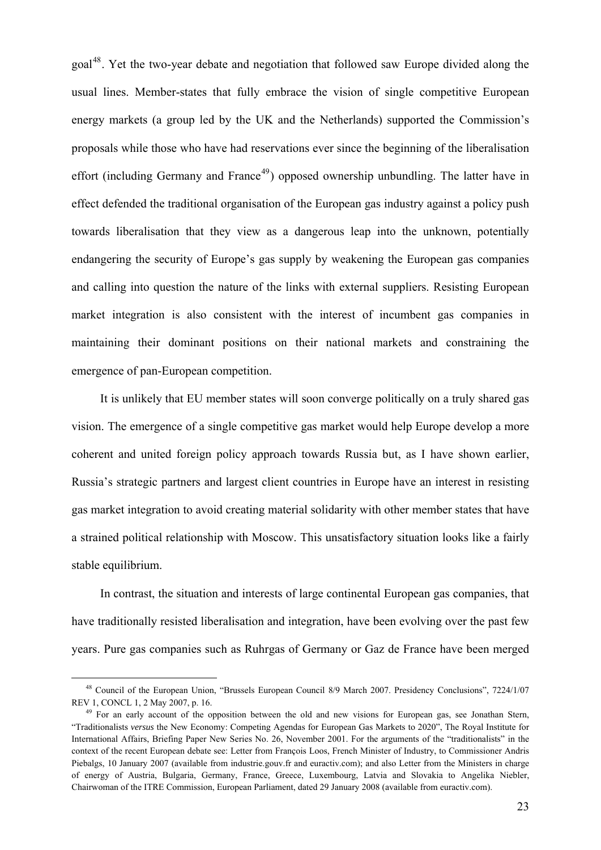<span id="page-23-0"></span>goal[48](#page-23-0). Yet the two-year debate and negotiation that followed saw Europe divided along the usual lines. Member-states that fully embrace the vision of single competitive European energy markets (a group led by the UK and the Netherlands) supported the Commission's proposals while those who have had reservations ever since the beginning of the liberalisation effort (including Germany and France<sup>[49](#page-23-0)</sup>) opposed ownership unbundling. The latter have in effect defended the traditional organisation of the European gas industry against a policy push towards liberalisation that they view as a dangerous leap into the unknown, potentially endangering the security of Europe's gas supply by weakening the European gas companies and calling into question the nature of the links with external suppliers. Resisting European market integration is also consistent with the interest of incumbent gas companies in maintaining their dominant positions on their national markets and constraining the emergence of pan-European competition.

It is unlikely that EU member states will soon converge politically on a truly shared gas vision. The emergence of a single competitive gas market would help Europe develop a more coherent and united foreign policy approach towards Russia but, as I have shown earlier, Russia's strategic partners and largest client countries in Europe have an interest in resisting gas market integration to avoid creating material solidarity with other member states that have a strained political relationship with Moscow. This unsatisfactory situation looks like a fairly stable equilibrium.

In contrast, the situation and interests of large continental European gas companies, that have traditionally resisted liberalisation and integration, have been evolving over the past few years. Pure gas companies such as Ruhrgas of Germany or Gaz de France have been merged

<sup>&</sup>lt;sup>48</sup> Council of the European Union, "Brussels European Council 8/9 March 2007. Presidency Conclusions", 7224/1/07<br>REV 1, CONCL 1, 2 May 2007, p. 16.

<sup>&</sup>lt;sup>49</sup> For an early account of the opposition between the old and new visions for European gas, see Jonathan Stern "Traditionalists *versus* the New Economy: Competing Agendas for European Gas Markets to 2020", The Royal Institute for International Affairs, Briefing Paper New Series No. 26, November 2001. For the arguments of the "traditionalists" in the context of the recent European debate see: Letter from François Loos, French Minister of Industry, to Commissioner Andris Piebalgs, 10 January 2007 (available from industrie.gouv.fr and euractiv.com); and also Letter from the Ministers in charge of energy of Austria, Bulgaria, Germany, France, Greece, Luxembourg, Latvia and Slovakia to Angelika Niebler, Chairwoman of the ITRE Commission, European Parliament, dated 29 January 2008 (available from euractiv.com).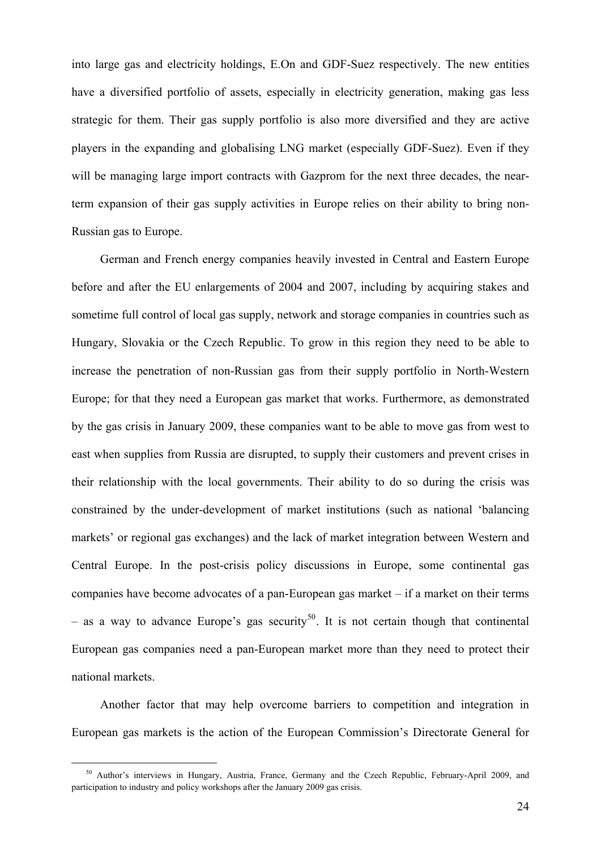<span id="page-24-0"></span>into large gas and electricity holdings, E.On and GDF-Suez respectively. The new entities have a diversified portfolio of assets, especially in electricity generation, making gas less strategic for them. Their gas supply portfolio is also more diversified and they are active players in the expanding and globalising LNG market (especially GDF-Suez). Even if they will be managing large import contracts with Gazprom for the next three decades, the nearterm expansion of their gas supply activities in Europe relies on their ability to bring non-Russian gas to Europe.

German and French energy companies heavily invested in Central and Eastern Europe before and after the EU enlargements of 2004 and 2007, including by acquiring stakes and sometime full control of local gas supply, network and storage companies in countries such as Hungary, Slovakia or the Czech Republic. To grow in this region they need to be able to increase the penetration of non-Russian gas from their supply portfolio in North-Western Europe; for that they need a European gas market that works. Furthermore, as demonstrated by the gas crisis in January 2009, these companies want to be able to move gas from west to east when supplies from Russia are disrupted, to supply their customers and prevent crises in their relationship with the local governments. Their ability to do so during the crisis was constrained by the under-development of market institutions (such as national 'balancing markets' or regional gas exchanges) and the lack of market integration between Western and Central Europe. In the post-crisis policy discussions in Europe, some continental gas companies have become advocates of a pan-European gas market – if a market on their terms – as a way to advance Europe's gas security<sup>[50](#page-24-0)</sup>. It is not certain though that continental European gas companies need a pan-European market more than they need to protect their national markets.

Another factor that may help overcome barriers to competition and integration in European gas markets is the action of the European Commission's Directorate General for

<sup>&</sup>lt;sup>50</sup> Author's interviews in Hungary, Austria, France, Germany and the Czech Republic, February-April 2009, and participation to industry and policy workshops after the January 2009 gas crisis.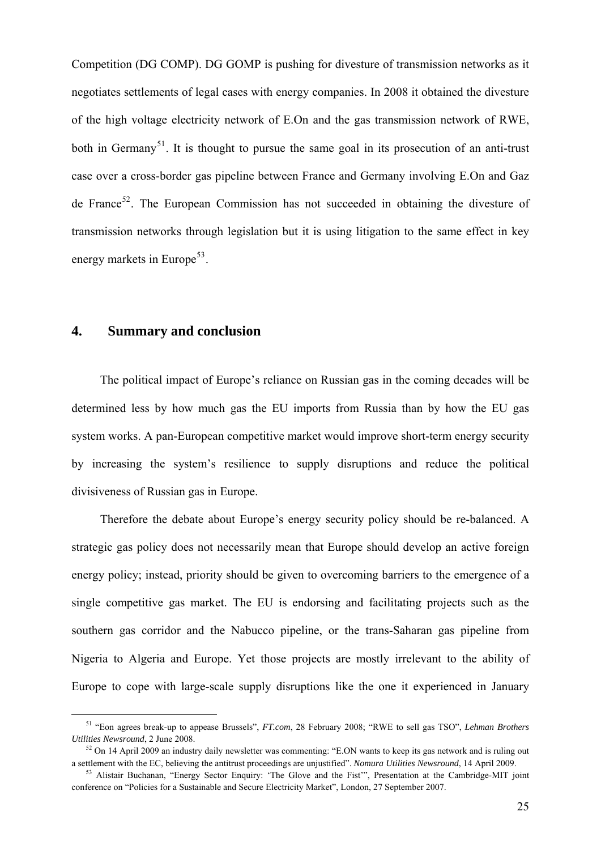<span id="page-25-0"></span>Competition (DG COMP). DG GOMP is pushing for divesture of transmission networks as it negotiates settlements of legal cases with energy companies. In 2008 it obtained the divesture of the high voltage electricity network of E.On and the gas transmission network of RWE, both in Germany<sup>[51](#page-25-0)</sup>. It is thought to pursue the same goal in its prosecution of an anti-trust case over a cross-border gas pipeline between France and Germany involving E.On and Gaz de France<sup>[52](#page-25-0)</sup>. The European Commission has not succeeded in obtaining the divesture of transmission networks through legislation but it is using litigation to the same effect in key energy markets in Europe<sup>[53](#page-25-0)</sup>.

#### **4. Summary and conclusion**

The political impact of Europe's reliance on Russian gas in the coming decades will be determined less by how much gas the EU imports from Russia than by how the EU gas system works. A pan-European competitive market would improve short-term energy security by increasing the system's resilience to supply disruptions and reduce the political divisiveness of Russian gas in Europe.

Therefore the debate about Europe's energy security policy should be re-balanced. A strategic gas policy does not necessarily mean that Europe should develop an active foreign energy policy; instead, priority should be given to overcoming barriers to the emergence of a single competitive gas market. The EU is endorsing and facilitating projects such as the southern gas corridor and the Nabucco pipeline, or the trans-Saharan gas pipeline from Nigeria to Algeria and Europe. Yet those projects are mostly irrelevant to the ability of Europe to cope with large-scale supply disruptions like the one it experienced in January

 <sup>51 &</sup>quot;Eon agrees break-up to appease Brussels", *FT.com*, 28 February 2008; "RWE to sell gas TSO", *Lehman Brothers Utilities Newsround*, 2 June 2008.<br><sup>52</sup> On 14 April 2009 an industry daily newsletter was commenting: "E.ON wants to keep its gas network and is ruling out

a settlement with the EC, believing the antitrust proceedings are unjustified". Nomura Utilities Newsround, 14 April 2009.<br><sup>53</sup> Alistair Buchanan, "Energy Sector Enquiry: 'The Glove and the Fist'", Presentation at the Camb

conference on "Policies for a Sustainable and Secure Electricity Market", London, 27 September 2007.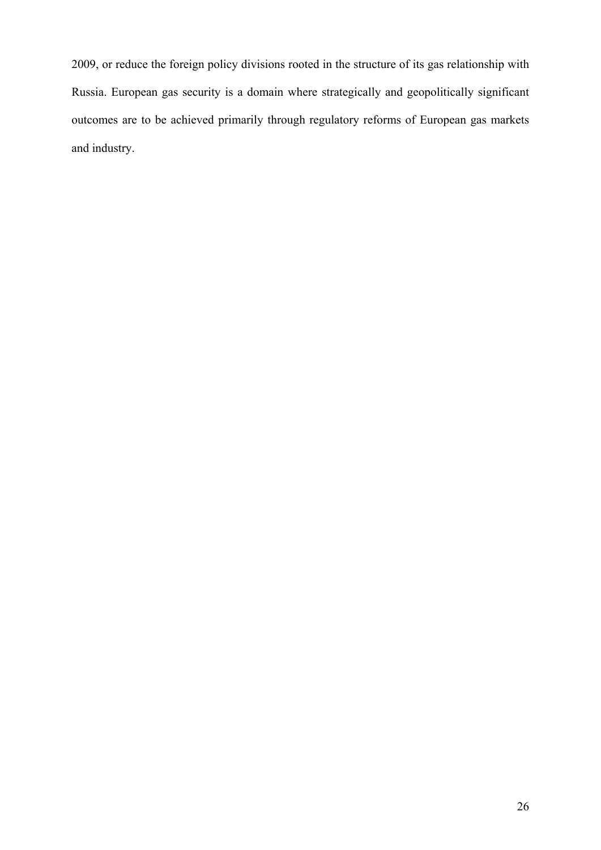2009, or reduce the foreign policy divisions rooted in the structure of its gas relationship with Russia. European gas security is a domain where strategically and geopolitically significant outcomes are to be achieved primarily through regulatory reforms of European gas markets and industry.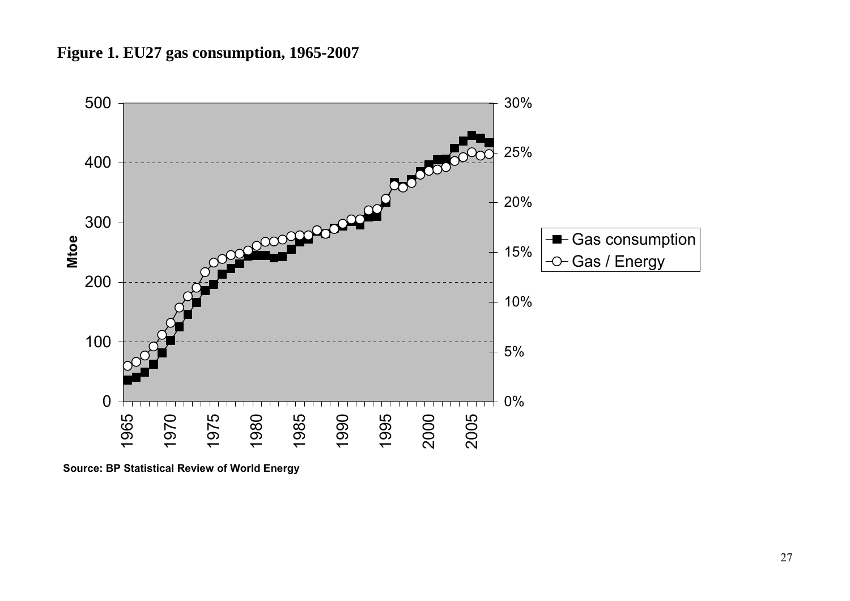



<span id="page-27-0"></span>**Source: BP Statistical Review of World Energy**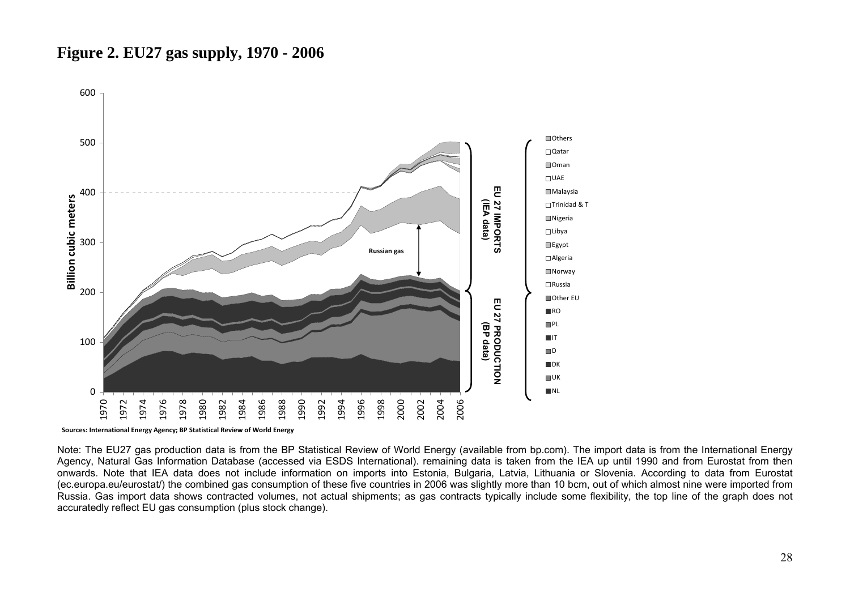### <span id="page-28-1"></span>**Figure 2. EU27 gas supply, 1970 - 2006**



**Sources: International Energy Agency; BP Statistical Review of World Energy**

<span id="page-28-0"></span>Note: The EU27 gas production data is from the BP Statistical Review of World Energy (available from bp.com). The import data is from the International Energy Agency, Natural Gas Information Database (accessed via ESDS International). remaining data is taken from the IEA up until 1990 and from Eurostat from then onwards. Note that IEA data does not include information on imports into Estonia, Bulgaria, Latvia, Lithuania or Slovenia. According to data from Eurostat (ec.europa.eu/eurostat/) the combined gas consumption of these five countries in 2006 was slightly more than 10 bcm, out of which almost nine were imported from Russia. Gas import data shows contracted volumes, not actual shipments; as gas contracts typically include some flexibility, the top line of the graph does not accuratedly reflect EU gas consumption (plus stock change).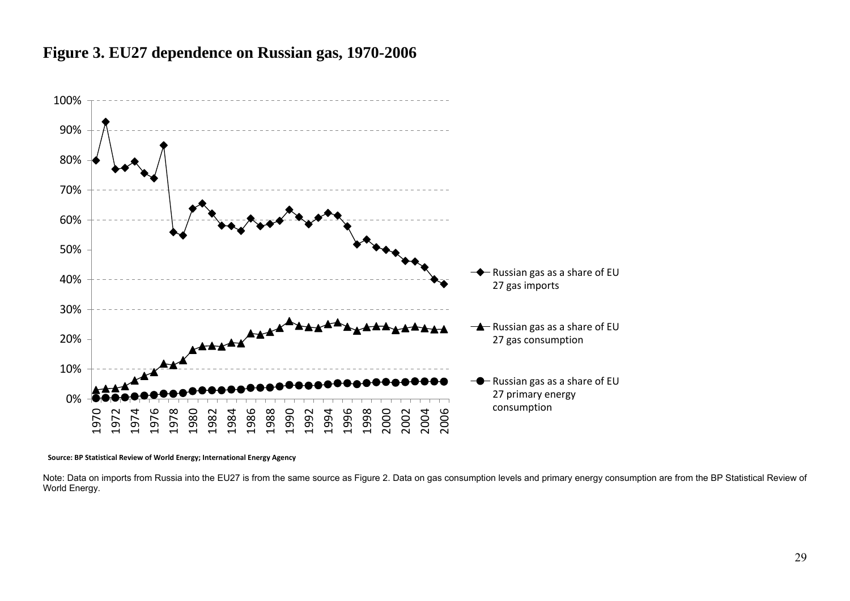### **Figure 3. EU27 dependence on Russian gas, 1970-2006**



**Source: BP Statistical Review of World Energy; International Energy Agency**

<span id="page-29-0"></span>Note: Data on imports from Russia into the EU27 is from the same source as [Figure 2](#page-28-1). Data on gas consumption levels and primary energy consumption are from the BP Statistical Review of World Energy.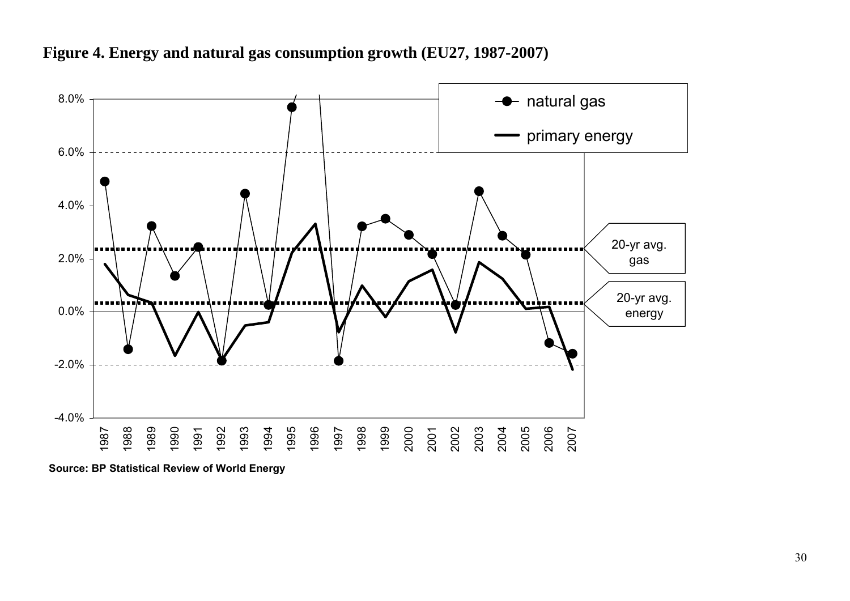

**Figure 4. Energy and natural gas consumption growth (EU27, 1987-2007)** 

<span id="page-30-0"></span>**Source: BP Statistical Review of World Energy**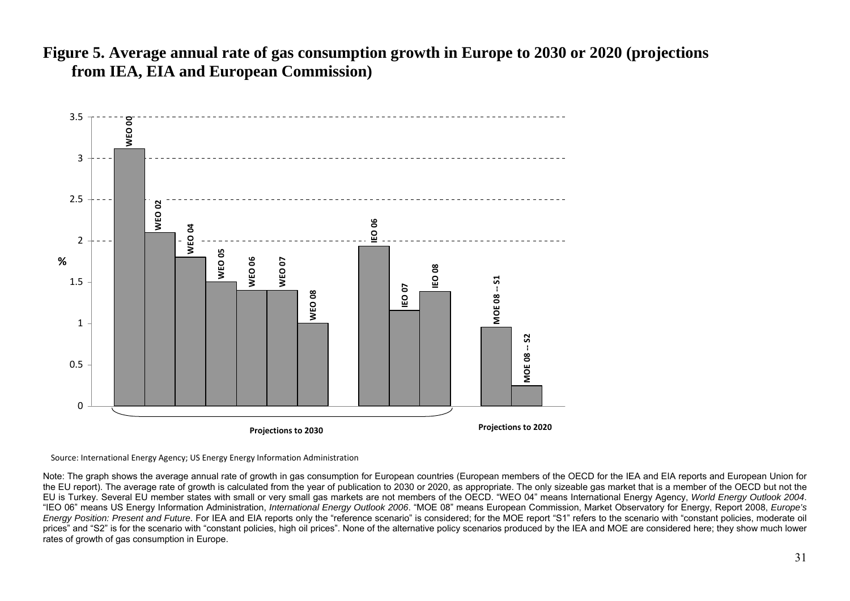





<span id="page-31-0"></span>Note: The graph shows the average annual rate of growth in gas consumption for European countries (European members of the OECD for the IEA and EIA reports and European Union for the EU report). The average rate of growth is calculated from the year of publication to 2030 or 2020, as appropriate. The only sizeable gas market that is a member of the OECD but not the EU is Turkey. Several EU member states with small or very small gas markets are not members of the OECD. "WEO 04" means International Energy Agency, *World Energy Outlook 2004*. "IEO 06" means US Energy Information Administration, *International Energy Outlook 2006*. "MOE 08" means European Commission, Market Observatory for Energy, Report 2008, *Europe's Energy Position: Present and Future*. For IEA and EIA reports only the "reference scenario" is considered; for the MOE report "S1" refers to the scenario with "constant policies, moderate oil prices" and "S2" is for the scenario with "constant policies, high oil prices". None of the alternative policy scenarios produced by the IEA and MOE are considered here; they show much lower rates of growth of gas consumption in Europe.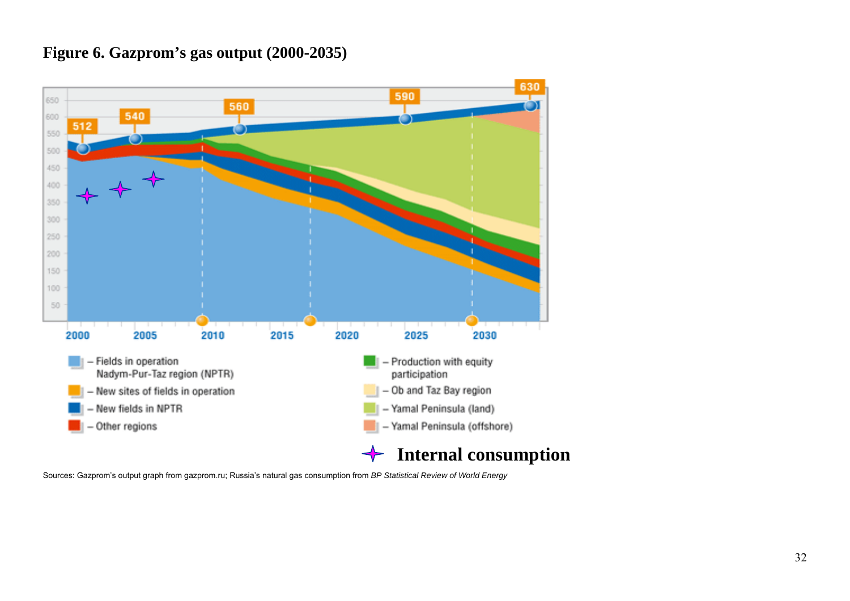### **Figure 6. Gazprom's gas output (2000-2035)**



<span id="page-32-0"></span>Sources: Gazprom's output graph from gazprom.ru; Russia's natural gas consumption from *BP Statistical Review of World Energy*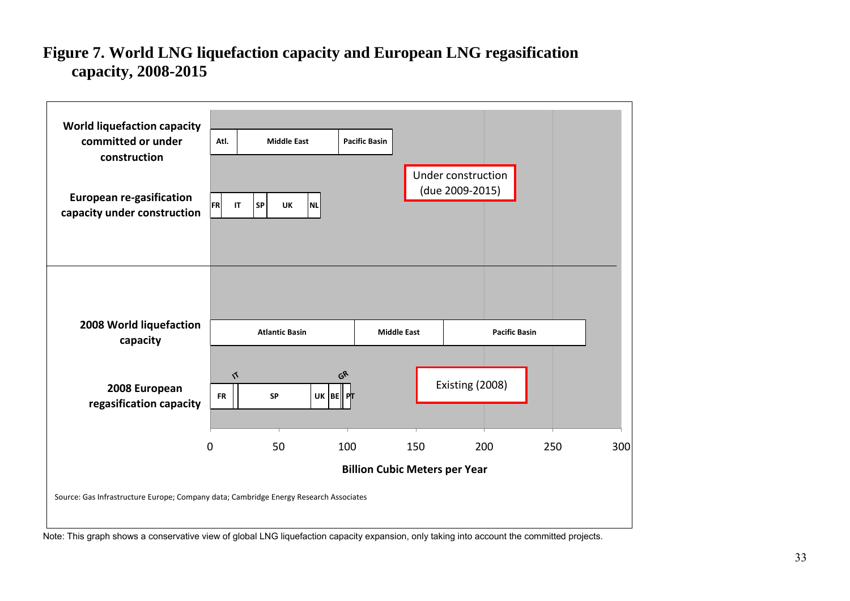### **Figure 7. World LNG liquefaction capacity and European LNG regasification capacity, 2008-2015**



<span id="page-33-0"></span>Note: This graph shows a conservative view of global LNG liquefaction capacity expansion, only taking into account the committed projects.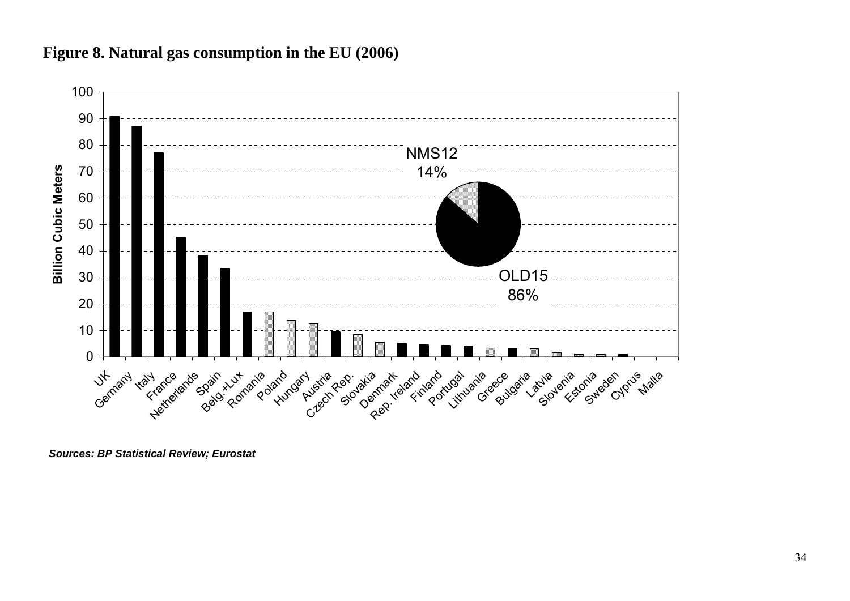

### **Figure 8. Natural gas consumption in the EU (2006)**

<span id="page-34-0"></span>*Sources: BP Statistical Review; Eurostat*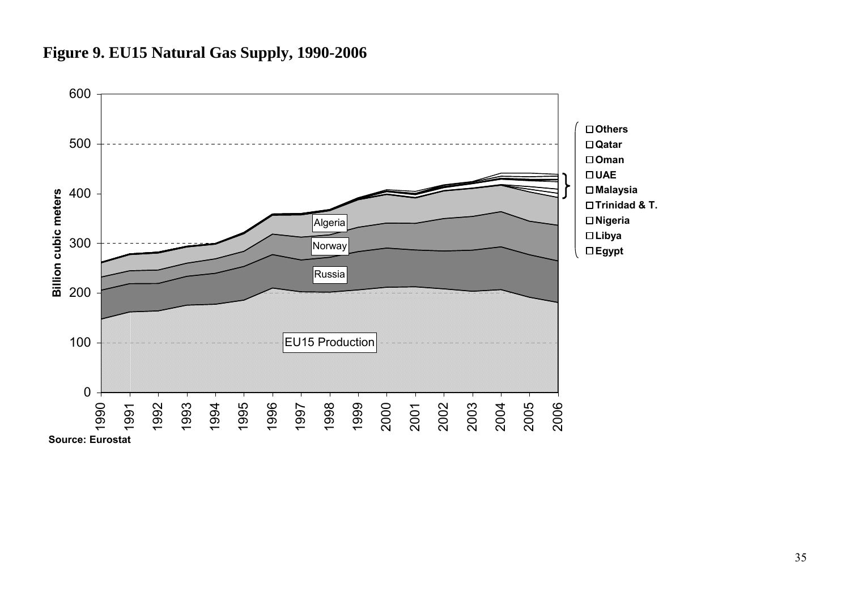## **Figure 9. EU15 Natural Gas Supply, 1990-2006**

<span id="page-35-0"></span>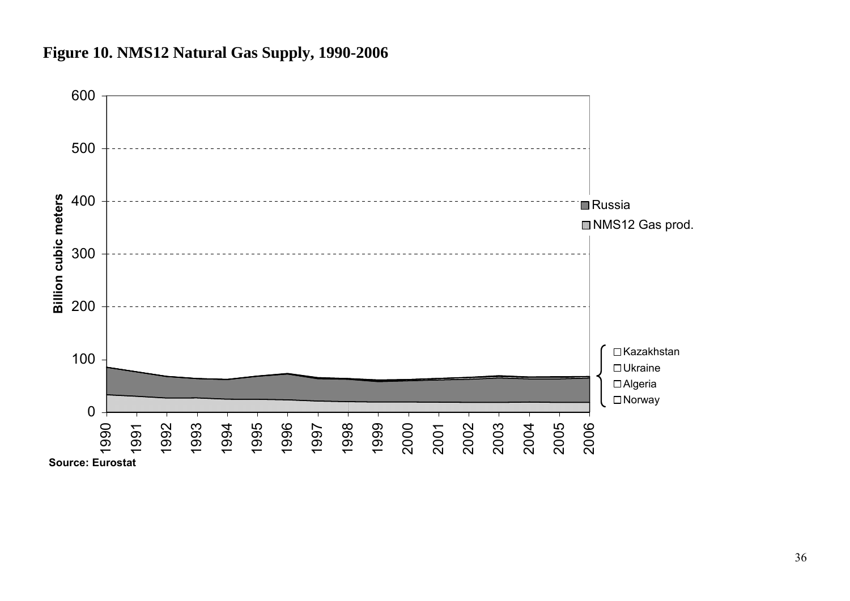# **Figure 10. NMS12 Natural Gas Supply, 1990-2006**

<span id="page-36-0"></span>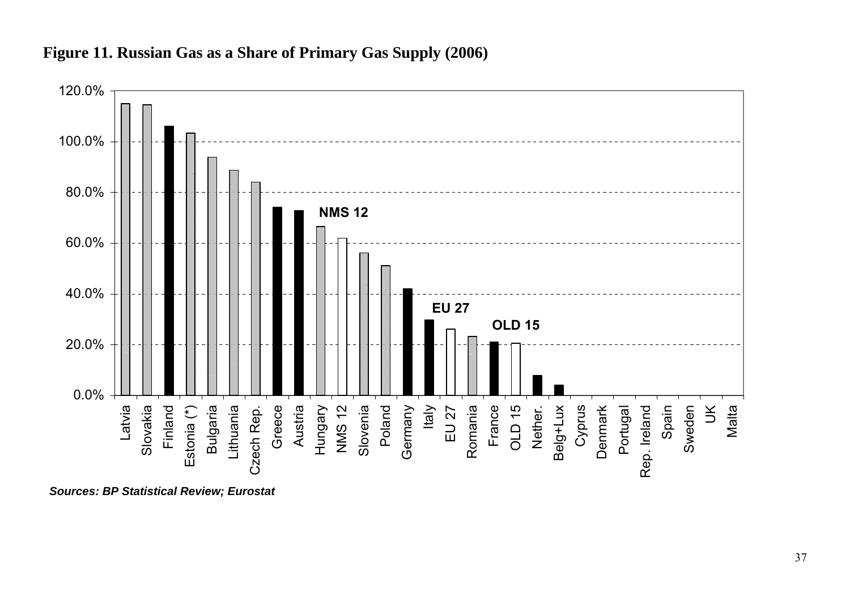

### **Figure 11. Russian Gas as a Share of Primary Gas Supply (2006)**

<span id="page-37-0"></span>*Sources: BP Statistical Review; Eurostat*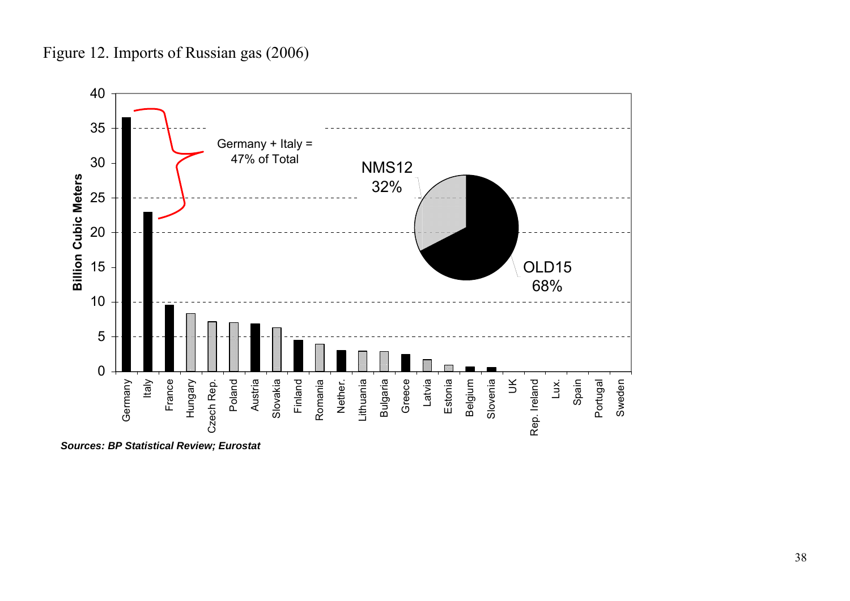Figure 12. Imports of Russian gas (2006)



<span id="page-38-0"></span>*Sources: BP Statistical Review; Eurostat*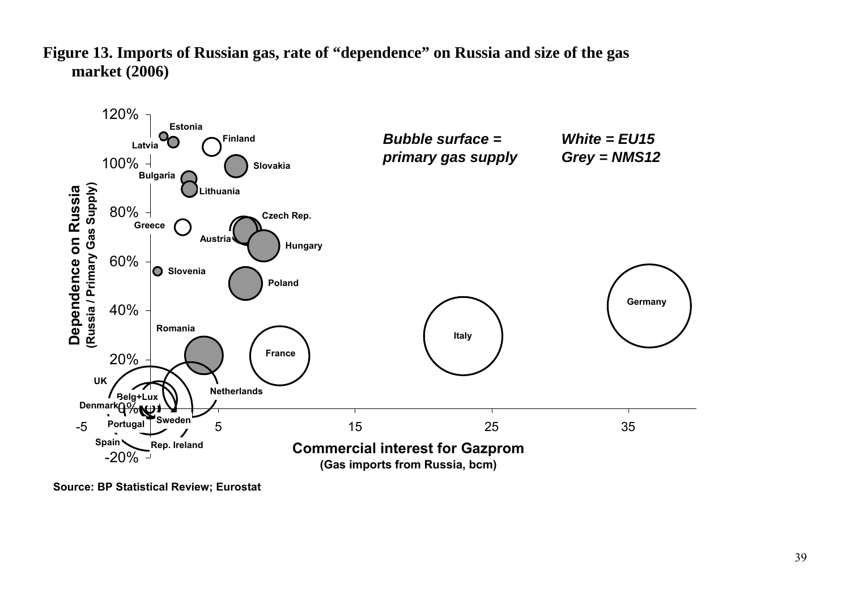

**Figure 13. Imports of Russian gas, rate of "dependence" on Russia and size of the gas market (2006)** 

<span id="page-39-0"></span>**Source: BP Statistical Review; Eurostat**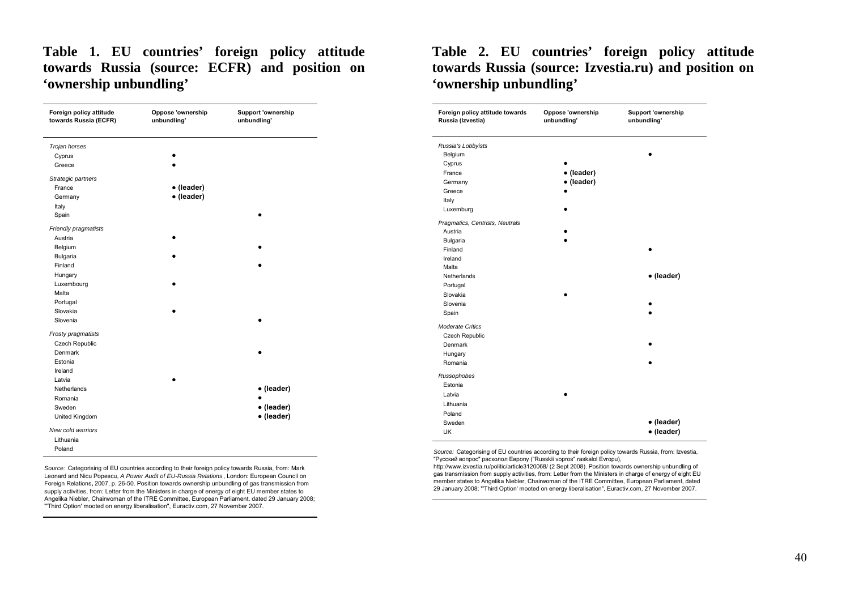### **Table 1. EU countries' foreign policy attitude towards Russia (source: ECFR) and position on 'ownership unbundling'**

| Foreign policy attitude<br>towards Russia (ECFR) | Oppose 'ownership<br>unbundling' | <b>Support 'ownership</b><br>unbundling' |
|--------------------------------------------------|----------------------------------|------------------------------------------|
| Trojan horses                                    |                                  |                                          |
| Cyprus                                           |                                  |                                          |
| Greece                                           |                                  |                                          |
| Strategic partners                               |                                  |                                          |
| France                                           | • (leader)                       |                                          |
| Germany                                          | • (leader)                       |                                          |
| Italy                                            |                                  |                                          |
| Spain                                            |                                  |                                          |
| Friendly pragmatists                             |                                  |                                          |
| Austria                                          |                                  |                                          |
| Belgium                                          |                                  |                                          |
| <b>Bulgaria</b>                                  |                                  |                                          |
| Finland                                          |                                  |                                          |
| Hungary                                          |                                  |                                          |
| Luxembourg                                       |                                  |                                          |
| Malta                                            |                                  |                                          |
| Portugal                                         |                                  |                                          |
| Slovakia                                         |                                  |                                          |
| Slovenia                                         |                                  |                                          |
| Frosty pragmatists                               |                                  |                                          |
| Czech Republic                                   |                                  |                                          |
| Denmark                                          |                                  |                                          |
| Estonia                                          |                                  |                                          |
| Ireland                                          |                                  |                                          |
| Latvia                                           |                                  |                                          |
| Netherlands                                      |                                  | • (leader)                               |
| Romania                                          |                                  |                                          |
| Sweden                                           |                                  | • (leader)                               |
| United Kingdom                                   |                                  | • (leader)                               |
| New cold warriors                                |                                  |                                          |
| Lithuania                                        |                                  |                                          |
| Poland                                           |                                  |                                          |

<span id="page-40-0"></span>*Source:* Categorising of EU countries according to their foreign policy towards Russia, from: Mark Leonard and Nicu Popescu, *A Power Audit of EU-Russia Relations* , London: European Council on Foreign Relations**,** 2007, p. 26-50. Position towards ownership unbundling of gas transmission from supply activities, from: Letter from the Ministers in charge of energy of eight EU member states to Angelika Niebler, Chairwoman of the ITRE Committee, European Parliament, dated 29 January 2008; "'Third Option' mooted on energy liberalisation", Euractiv.com, 27 November 2007.

### **Table 2. EU countries' foreign policy attitude towards Russia (source: Izvestia.ru) and position on 'ownership unbundling'**

| Belgium<br>Cyprus<br>• (leader)<br>France<br>· (leader)<br>Germany<br>Greece<br>Italy<br>Luxemburg<br>Austria<br><b>Bulgaria</b><br>Finland<br>Ireland<br>Malta<br>• (leader)<br>Netherlands<br>Portugal<br>Slovakia<br>Slovenia<br>Spain<br>Czech Republic<br>Denmark<br>Hungary<br>Romania<br>Estonia<br>Latvia<br>Lithuania<br>Poland<br>· (leader)<br>Sweden<br><b>UK</b> | Foreign policy attitude towards<br>Russia (Izvestia) | Oppose 'ownership<br>unbundling' | <b>Support 'ownership</b><br>unbundling' |
|-------------------------------------------------------------------------------------------------------------------------------------------------------------------------------------------------------------------------------------------------------------------------------------------------------------------------------------------------------------------------------|------------------------------------------------------|----------------------------------|------------------------------------------|
|                                                                                                                                                                                                                                                                                                                                                                               | Russia's Lobbyists                                   |                                  |                                          |
|                                                                                                                                                                                                                                                                                                                                                                               |                                                      |                                  |                                          |
|                                                                                                                                                                                                                                                                                                                                                                               |                                                      |                                  |                                          |
|                                                                                                                                                                                                                                                                                                                                                                               |                                                      |                                  |                                          |
|                                                                                                                                                                                                                                                                                                                                                                               |                                                      |                                  |                                          |
|                                                                                                                                                                                                                                                                                                                                                                               |                                                      |                                  |                                          |
|                                                                                                                                                                                                                                                                                                                                                                               |                                                      |                                  |                                          |
|                                                                                                                                                                                                                                                                                                                                                                               |                                                      |                                  |                                          |
|                                                                                                                                                                                                                                                                                                                                                                               | Pragmatics, Centrists, Neutrals                      |                                  |                                          |
|                                                                                                                                                                                                                                                                                                                                                                               |                                                      |                                  |                                          |
|                                                                                                                                                                                                                                                                                                                                                                               |                                                      |                                  |                                          |
|                                                                                                                                                                                                                                                                                                                                                                               |                                                      |                                  |                                          |
|                                                                                                                                                                                                                                                                                                                                                                               |                                                      |                                  |                                          |
|                                                                                                                                                                                                                                                                                                                                                                               |                                                      |                                  |                                          |
|                                                                                                                                                                                                                                                                                                                                                                               |                                                      |                                  |                                          |
|                                                                                                                                                                                                                                                                                                                                                                               |                                                      |                                  |                                          |
|                                                                                                                                                                                                                                                                                                                                                                               |                                                      |                                  |                                          |
|                                                                                                                                                                                                                                                                                                                                                                               |                                                      |                                  |                                          |
|                                                                                                                                                                                                                                                                                                                                                                               |                                                      |                                  |                                          |
|                                                                                                                                                                                                                                                                                                                                                                               | <b>Moderate Critics</b>                              |                                  |                                          |
|                                                                                                                                                                                                                                                                                                                                                                               |                                                      |                                  |                                          |
|                                                                                                                                                                                                                                                                                                                                                                               |                                                      |                                  |                                          |
|                                                                                                                                                                                                                                                                                                                                                                               |                                                      |                                  |                                          |
|                                                                                                                                                                                                                                                                                                                                                                               |                                                      |                                  |                                          |
|                                                                                                                                                                                                                                                                                                                                                                               | Russophobes                                          |                                  |                                          |
|                                                                                                                                                                                                                                                                                                                                                                               |                                                      |                                  |                                          |
|                                                                                                                                                                                                                                                                                                                                                                               |                                                      |                                  |                                          |
|                                                                                                                                                                                                                                                                                                                                                                               |                                                      |                                  |                                          |
|                                                                                                                                                                                                                                                                                                                                                                               |                                                      |                                  |                                          |
|                                                                                                                                                                                                                                                                                                                                                                               |                                                      |                                  |                                          |
|                                                                                                                                                                                                                                                                                                                                                                               |                                                      |                                  | • (leader)                               |

*Source:* Categorising of EU countries according to their foreign policy towards Russia, from: Izvestia, "Русский вопрос" расколол Европу ("Russkii vopros" raskalol Evropu),

http://www.izvestia.ru/politic/article3120068/ (2 Sept 2008). Position towards ownership unbundling of gas transmission from supply activities, from: Letter from the Ministers in charge of energy of eight EU member states to Angelika Niebler, Chairwoman of the ITRE Committee, European Parliament, dated 29 January 2008; "'Third Option' mooted on energy liberalisation", Euractiv.com, 27 November 2007.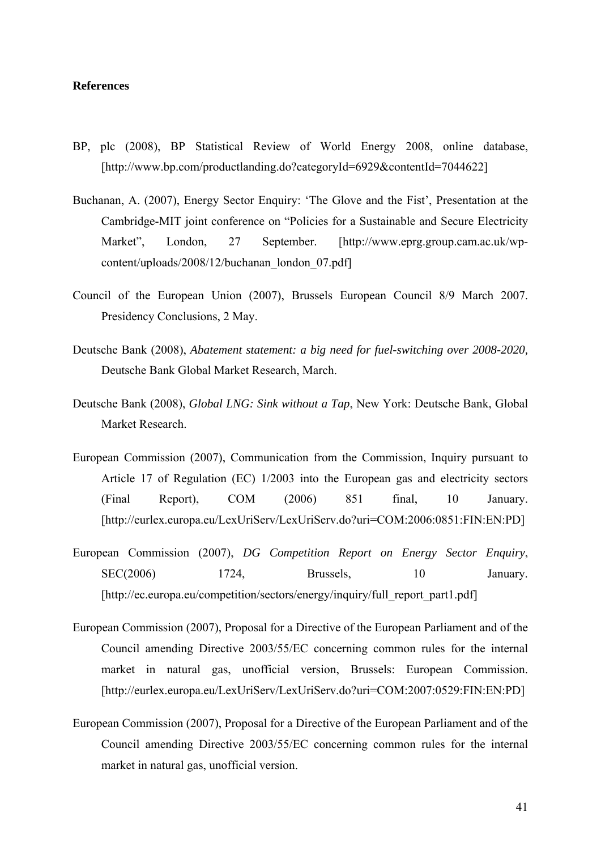#### **References**

- BP, plc (2008), BP Statistical Review of World Energy 2008, online database, [http://www.bp.com/productlanding.do?categoryId=6929&contentId=7044622]
- Buchanan, A. (2007), Energy Sector Enquiry: 'The Glove and the Fist', Presentation at the Cambridge-MIT joint conference on "Policies for a Sustainable and Secure Electricity Market", London, 27 September. [http://www.eprg.group.cam.ac.uk/wpcontent/uploads/2008/12/buchanan\_london\_07.pdf]
- Council of the European Union (2007), Brussels European Council 8/9 March 2007. Presidency Conclusions, 2 May.
- Deutsche Bank (2008), *Abatement statement: a big need for fuel-switching over 2008-2020,*  Deutsche Bank Global Market Research, March.
- Deutsche Bank (2008), *Global LNG: Sink without a Tap*, New York: Deutsche Bank, Global Market Research.
- European Commission (2007), Communication from the Commission, Inquiry pursuant to Article 17 of Regulation (EC) 1/2003 into the European gas and electricity sectors (Final Report), COM (2006) 851 final, 10 January. [http://eurlex.europa.eu/LexUriServ/LexUriServ.do?uri=COM:2006:0851:FIN:EN:PD]
- European Commission (2007), *DG Competition Report on Energy Sector Enquiry*, SEC(2006) 1724, Brussels, 10 January. [http://ec.europa.eu/competition/sectors/energy/inquiry/full\_report\_part1.pdf]
- European Commission (2007), Proposal for a Directive of the European Parliament and of the Council amending Directive 2003/55/EC concerning common rules for the internal market in natural gas, unofficial version, Brussels: European Commission. [http://eurlex.europa.eu/LexUriServ/LexUriServ.do?uri=COM:2007:0529:FIN:EN:PD]
- European Commission (2007), Proposal for a Directive of the European Parliament and of the Council amending Directive 2003/55/EC concerning common rules for the internal market in natural gas, unofficial version.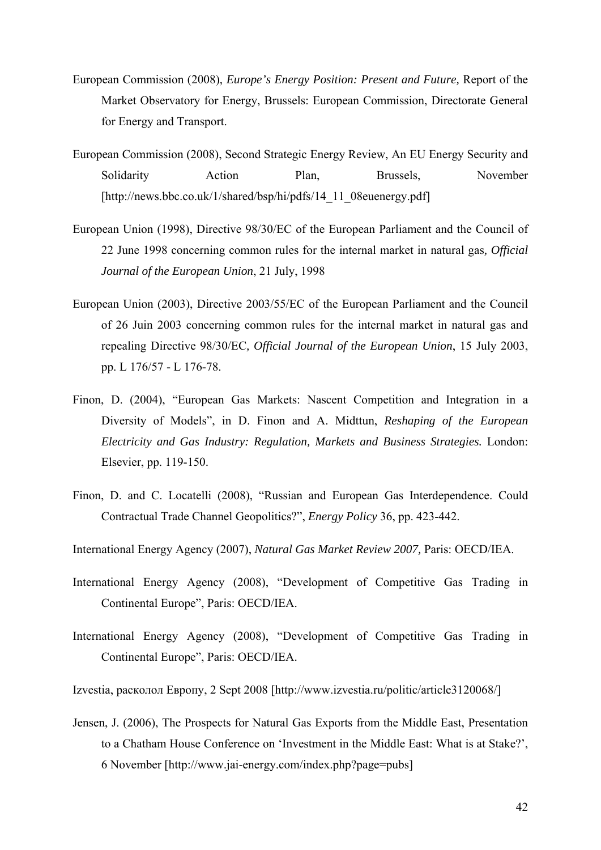- European Commission (2008), *Europe's Energy Position: Present and Future,* Report of the Market Observatory for Energy, Brussels: European Commission, Directorate General for Energy and Transport.
- European Commission (2008), Second Strategic Energy Review, An EU Energy Security and Solidarity Action Plan, Brussels, November [http://news.bbc.co.uk/1/shared/bsp/hi/pdfs/14\_11\_08euenergy.pdf]
- European Union (1998), Directive 98/30/EC of the European Parliament and the Council of 22 June 1998 concerning common rules for the internal market in natural gas*, Official Journal of the European Union*, 21 July, 1998
- European Union (2003), Directive 2003/55/EC of the European Parliament and the Council of 26 Juin 2003 concerning common rules for the internal market in natural gas and repealing Directive 98/30/EC*, Official Journal of the European Union*, 15 July 2003, pp. L 176/57 - L 176-78.
- Finon, D. (2004), "European Gas Markets: Nascent Competition and Integration in a Diversity of Models", in D. Finon and A. Midttun, *Reshaping of the European Electricity and Gas Industry: Regulation, Markets and Business Strategies.* London: Elsevier, pp. 119-150.
- Finon, D. and C. Locatelli (2008), "Russian and European Gas Interdependence. Could Contractual Trade Channel Geopolitics?", *Energy Policy* 36, pp. 423-442.
- International Energy Agency (2007), *Natural Gas Market Review 2007,* Paris: OECD/IEA.
- International Energy Agency (2008), "Development of Competitive Gas Trading in Continental Europe", Paris: OECD/IEA.
- International Energy Agency (2008), "Development of Competitive Gas Trading in Continental Europe", Paris: OECD/IEA.
- Izvestia, расколол Европу, 2 Sept 2008 [http://www.izvestia.ru/politic/article3120068/]
- Jensen, J. (2006), The Prospects for Natural Gas Exports from the Middle East, Presentation to a Chatham House Conference on 'Investment in the Middle East: What is at Stake?', 6 November [http://www.jai-energy.com/index.php?page=pubs]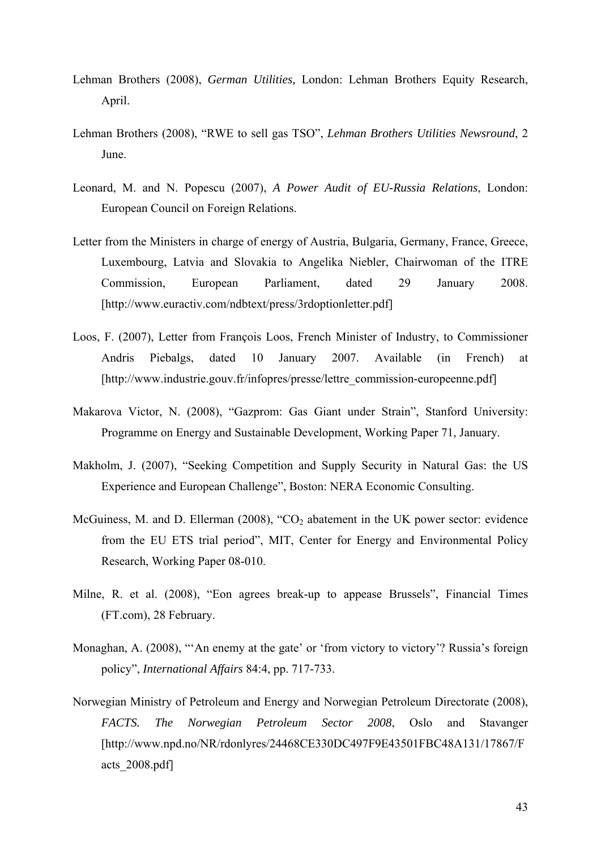- Lehman Brothers (2008), *German Utilities,* London: Lehman Brothers Equity Research, April.
- Lehman Brothers (2008), "RWE to sell gas TSO", *Lehman Brothers Utilities Newsround*, 2 June.
- Leonard, M. and N. Popescu (2007), *A Power Audit of EU-Russia Relations*, London: European Council on Foreign Relations.
- Letter from the Ministers in charge of energy of Austria, Bulgaria, Germany, France, Greece, Luxembourg, Latvia and Slovakia to Angelika Niebler, Chairwoman of the ITRE Commission, European Parliament, dated 29 January 2008. [http://www.euractiv.com/ndbtext/press/3rdoptionletter.pdf]
- Loos, F. (2007), Letter from François Loos, French Minister of Industry, to Commissioner Andris Piebalgs, dated 10 January 2007. Available (in French) at [http://www.industrie.gouv.fr/infopres/presse/lettre\_commission-europeenne.pdf]
- Makarova Victor, N. (2008), "Gazprom: Gas Giant under Strain", Stanford University: Programme on Energy and Sustainable Development, Working Paper 71, January.
- Makholm, J. (2007), "Seeking Competition and Supply Security in Natural Gas: the US Experience and European Challenge", Boston: NERA Economic Consulting.
- McGuiness, M. and D. Ellerman  $(2008)$ , "CO<sub>2</sub> abatement in the UK power sector: evidence from the EU ETS trial period", MIT, Center for Energy and Environmental Policy Research, Working Paper 08-010.
- Milne, R. et al. (2008), "Eon agrees break-up to appease Brussels", Financial Times (FT.com), 28 February.
- Monaghan, A. (2008), "'An enemy at the gate' or 'from victory to victory'? Russia's foreign policy", *International Affairs* 84:4, pp. 717-733.
- Norwegian Ministry of Petroleum and Energy and Norwegian Petroleum Directorate (2008), *FACTS. The Norwegian Petroleum Sector 2008*, Oslo and Stavanger [http://www.npd.no/NR/rdonlyres/24468CE330DC497F9E43501FBC48A131/17867/F acts\_2008.pdf]